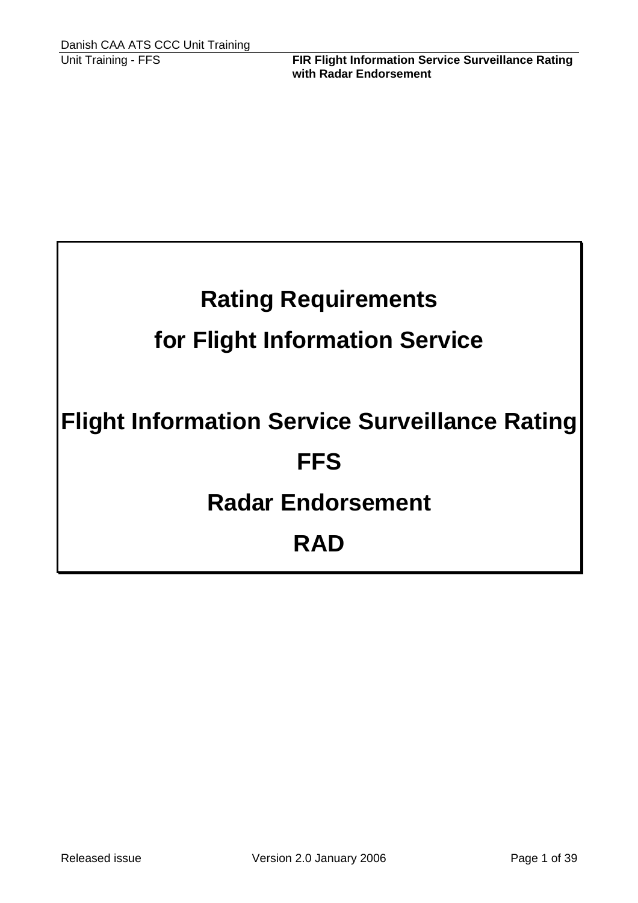# **Rating Requirements**

# **for Flight Information Service**

## **Flight Information Service Surveillance Rating**

## **FFS**

## **Radar Endorsement**

## **RAD**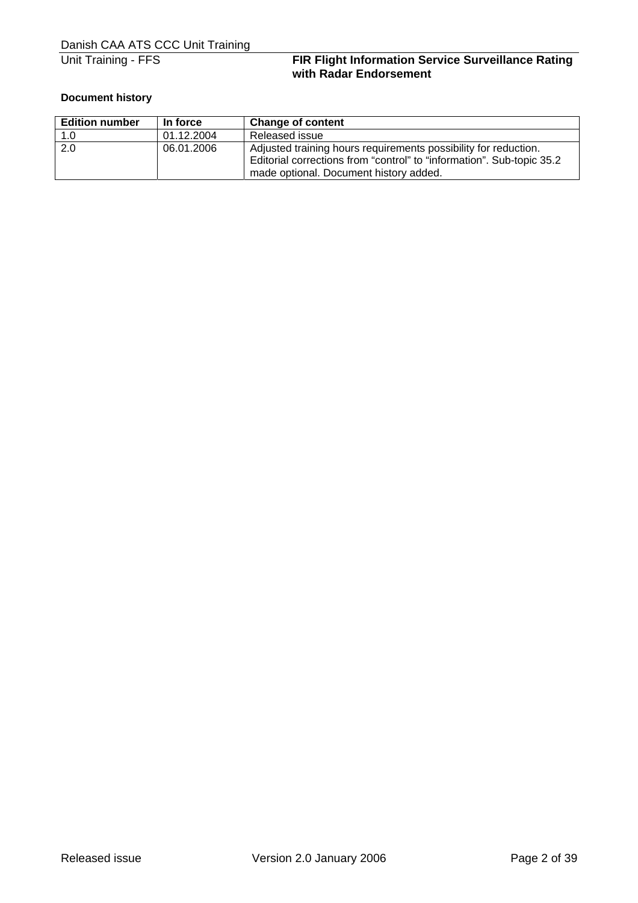### **Document history**

| <b>Edition number</b> | In force   | <b>Change of content</b>                                              |
|-----------------------|------------|-----------------------------------------------------------------------|
| 1.0                   | 01.12.2004 | Released issue                                                        |
| 2.0                   | 06.01.2006 | Adjusted training hours requirements possibility for reduction.       |
|                       |            | Editorial corrections from "control" to "information". Sub-topic 35.2 |
|                       |            | made optional. Document history added.                                |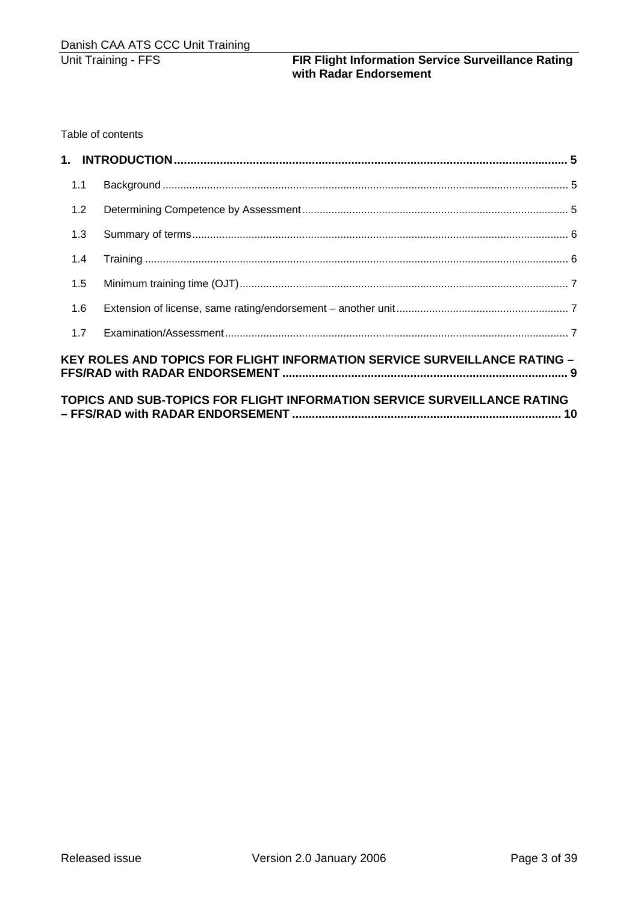Table of contents

| 1.1 |                                                                           |  |
|-----|---------------------------------------------------------------------------|--|
| 1.2 |                                                                           |  |
| 1.3 |                                                                           |  |
| 1.4 |                                                                           |  |
| 1.5 |                                                                           |  |
| 1.6 |                                                                           |  |
| 1.7 |                                                                           |  |
|     | KEY ROLES AND TOPICS FOR FLIGHT INFORMATION SERVICE SURVEILLANCE RATING - |  |
|     | TOPICS AND SUB-TOPICS FOR FLIGHT INFORMATION SERVICE SURVEILLANCE RATING  |  |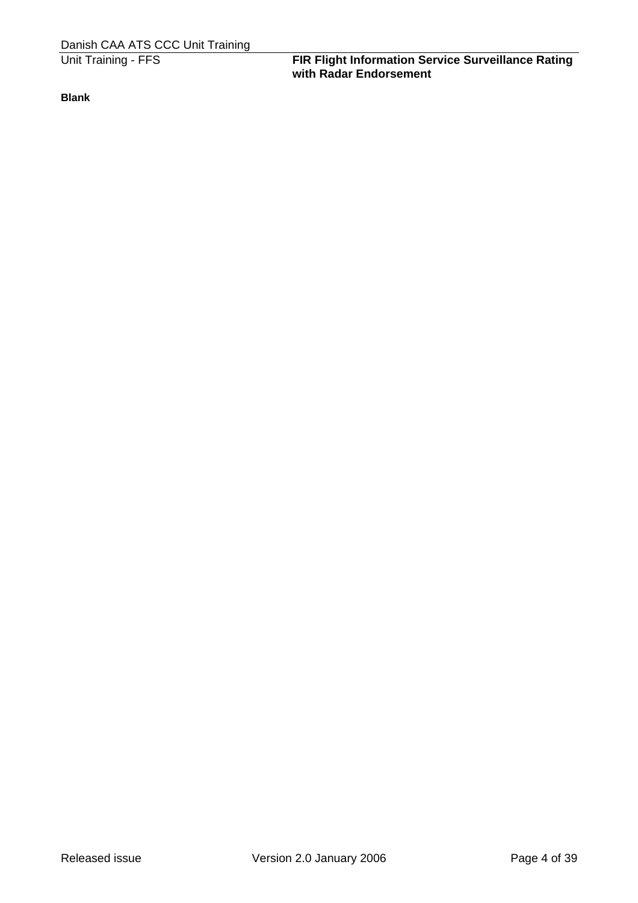**Blank**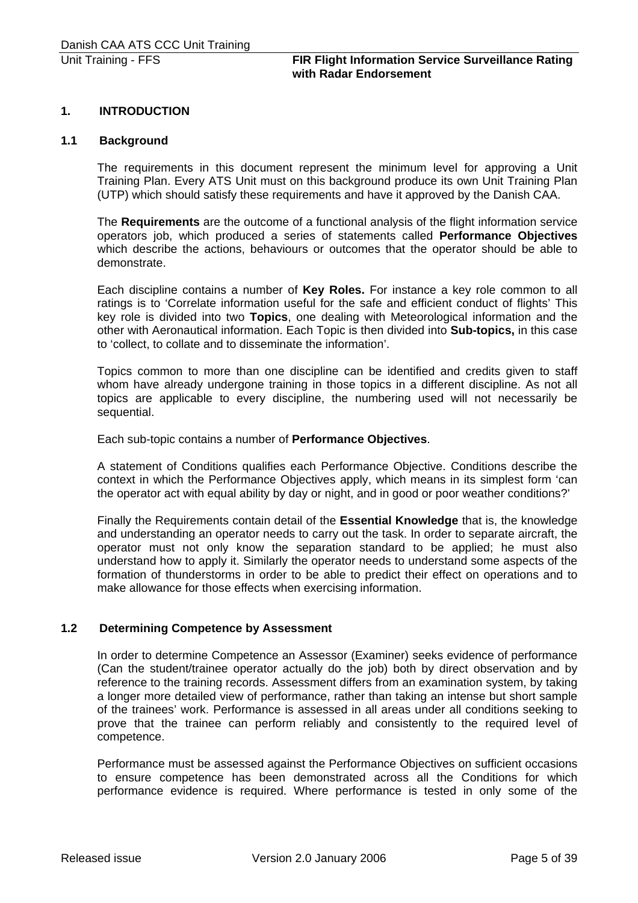#### **1. INTRODUCTION**

#### **1.1 Background**

The requirements in this document represent the minimum level for approving a Unit Training Plan. Every ATS Unit must on this background produce its own Unit Training Plan (UTP) which should satisfy these requirements and have it approved by the Danish CAA.

The **Requirements** are the outcome of a functional analysis of the flight information service operators job, which produced a series of statements called **Performance Objectives** which describe the actions, behaviours or outcomes that the operator should be able to demonstrate.

Each discipline contains a number of **Key Roles.** For instance a key role common to all ratings is to 'Correlate information useful for the safe and efficient conduct of flights' This key role is divided into two **Topics**, one dealing with Meteorological information and the other with Aeronautical information. Each Topic is then divided into **Sub-topics,** in this case to 'collect, to collate and to disseminate the information'.

Topics common to more than one discipline can be identified and credits given to staff whom have already undergone training in those topics in a different discipline. As not all topics are applicable to every discipline, the numbering used will not necessarily be sequential.

Each sub-topic contains a number of **Performance Objectives**.

A statement of Conditions qualifies each Performance Objective. Conditions describe the context in which the Performance Objectives apply, which means in its simplest form 'can the operator act with equal ability by day or night, and in good or poor weather conditions?'

Finally the Requirements contain detail of the **Essential Knowledge** that is, the knowledge and understanding an operator needs to carry out the task. In order to separate aircraft, the operator must not only know the separation standard to be applied; he must also understand how to apply it. Similarly the operator needs to understand some aspects of the formation of thunderstorms in order to be able to predict their effect on operations and to make allowance for those effects when exercising information.

## **1.2 Determining Competence by Assessment**

In order to determine Competence an Assessor (Examiner) seeks evidence of performance (Can the student/trainee operator actually do the job) both by direct observation and by reference to the training records. Assessment differs from an examination system, by taking a longer more detailed view of performance, rather than taking an intense but short sample of the trainees' work. Performance is assessed in all areas under all conditions seeking to prove that the trainee can perform reliably and consistently to the required level of competence.

Performance must be assessed against the Performance Objectives on sufficient occasions to ensure competence has been demonstrated across all the Conditions for which performance evidence is required. Where performance is tested in only some of the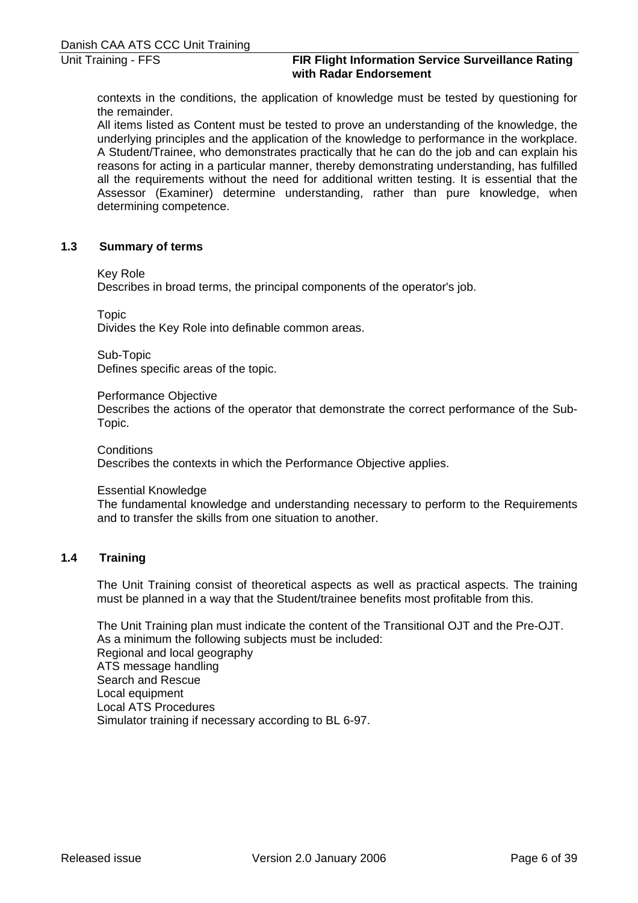contexts in the conditions, the application of knowledge must be tested by questioning for the remainder.

All items listed as Content must be tested to prove an understanding of the knowledge, the underlying principles and the application of the knowledge to performance in the workplace. A Student/Trainee, who demonstrates practically that he can do the job and can explain his reasons for acting in a particular manner, thereby demonstrating understanding, has fulfilled all the requirements without the need for additional written testing. It is essential that the Assessor (Examiner) determine understanding, rather than pure knowledge, when determining competence.

## **1.3 Summary of terms**

Key Role

Describes in broad terms, the principal components of the operator's job.

Topic

Divides the Key Role into definable common areas.

Sub-Topic Defines specific areas of the topic.

Performance Objective

Describes the actions of the operator that demonstrate the correct performance of the Sub-Topic.

**Conditions** Describes the contexts in which the Performance Objective applies.

Essential Knowledge

The fundamental knowledge and understanding necessary to perform to the Requirements and to transfer the skills from one situation to another.

## **1.4 Training**

The Unit Training consist of theoretical aspects as well as practical aspects. The training must be planned in a way that the Student/trainee benefits most profitable from this.

The Unit Training plan must indicate the content of the Transitional OJT and the Pre-OJT. As a minimum the following subjects must be included: Regional and local geography ATS message handling Search and Rescue Local equipment Local ATS Procedures Simulator training if necessary according to BL 6-97.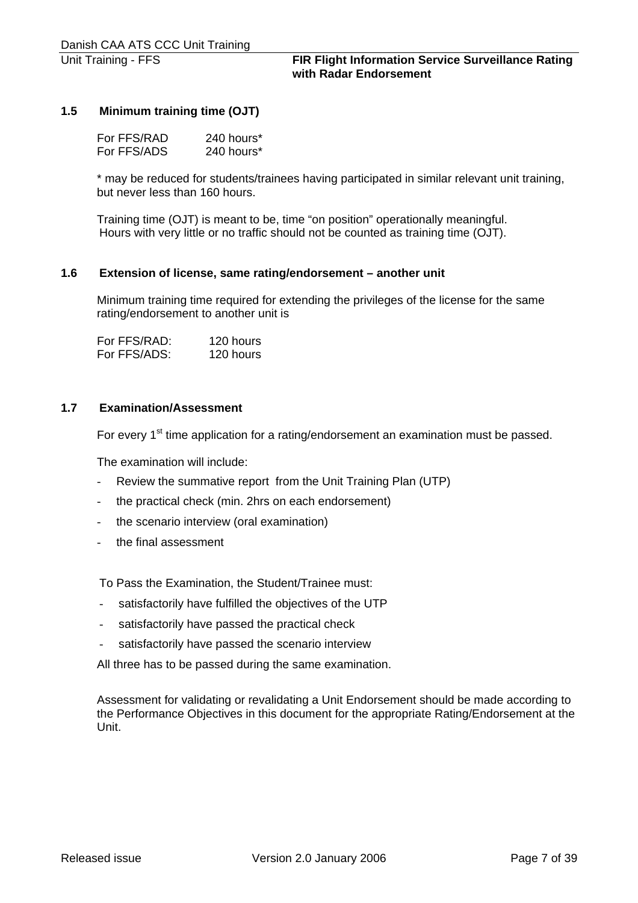#### **1.5 Minimum training time (OJT)**

| For FFS/RAD | 240 hours* |
|-------------|------------|
| For FFS/ADS | 240 hours* |

\* may be reduced for students/trainees having participated in similar relevant unit training, but never less than 160 hours.

Training time (OJT) is meant to be, time "on position" operationally meaningful. Hours with very little or no traffic should not be counted as training time (OJT).

#### **1.6 Extension of license, same rating/endorsement – another unit**

Minimum training time required for extending the privileges of the license for the same rating/endorsement to another unit is

| For FFS/RAD: | 120 hours |
|--------------|-----------|
| For FFS/ADS: | 120 hours |

## **1.7 Examination/Assessment**

For every 1<sup>st</sup> time application for a rating/endorsement an examination must be passed.

The examination will include:

- Review the summative report from the Unit Training Plan (UTP)
- the practical check (min. 2hrs on each endorsement)
- the scenario interview (oral examination)
- the final assessment

To Pass the Examination, the Student/Trainee must:

- satisfactorily have fulfilled the objectives of the UTP
- satisfactorily have passed the practical check
- satisfactorily have passed the scenario interview

All three has to be passed during the same examination.

Assessment for validating or revalidating a Unit Endorsement should be made according to the Performance Objectives in this document for the appropriate Rating/Endorsement at the Unit.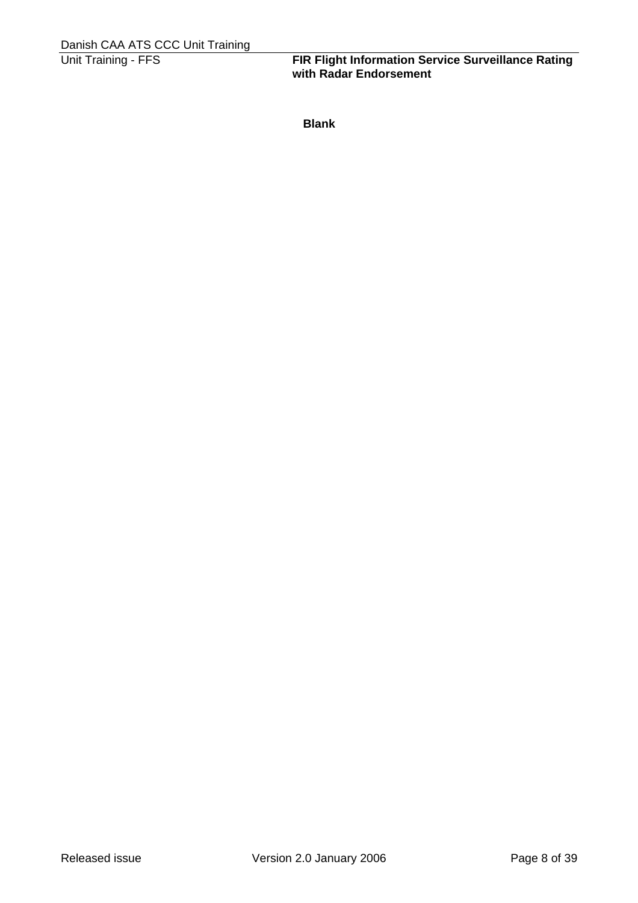**FIR Flight Information Service Surveillance Rating with Radar Endorsement**

**Blank**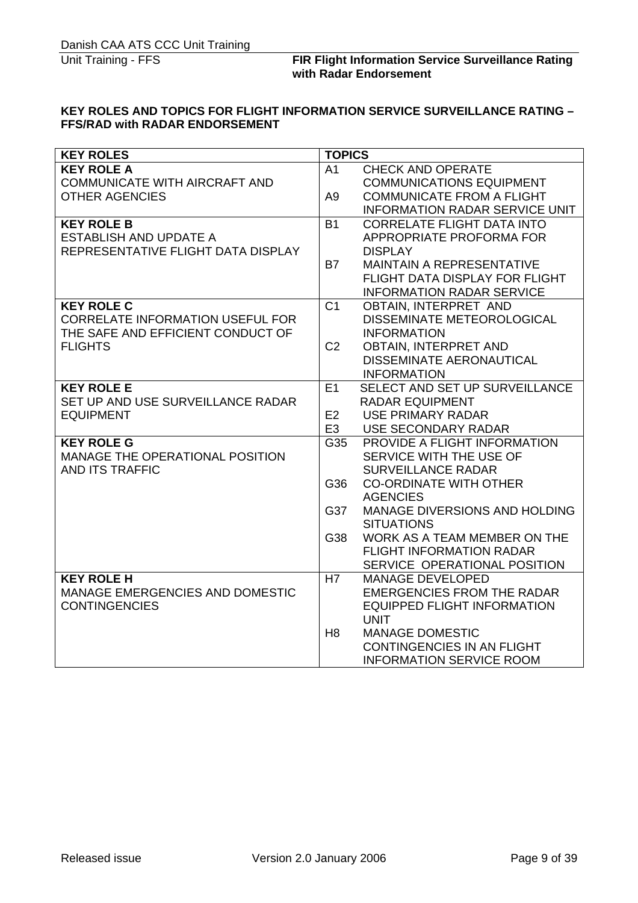#### **KEY ROLES AND TOPICS FOR FLIGHT INFORMATION SERVICE SURVEILLANCE RATING – FFS/RAD with RADAR ENDORSEMENT**

| <b>KEY ROLES</b>                        | <b>TOPICS</b>                              |                                       |
|-----------------------------------------|--------------------------------------------|---------------------------------------|
| <b>KEY ROLE A</b>                       | A <sub>1</sub><br><b>CHECK AND OPERATE</b> |                                       |
| COMMUNICATE WITH AIRCRAFT AND           |                                            | <b>COMMUNICATIONS EQUIPMENT</b>       |
| <b>OTHER AGENCIES</b>                   | A9                                         | <b>COMMUNICATE FROM A FLIGHT</b>      |
|                                         |                                            | <b>INFORMATION RADAR SERVICE UNIT</b> |
| <b>KEY ROLE B</b>                       | <b>B1</b>                                  | <b>CORRELATE FLIGHT DATA INTO</b>     |
| <b>ESTABLISH AND UPDATE A</b>           |                                            | APPROPRIATE PROFORMA FOR              |
| REPRESENTATIVE FLIGHT DATA DISPLAY      |                                            | <b>DISPLAY</b>                        |
|                                         | <b>B7</b>                                  | <b>MAINTAIN A REPRESENTATIVE</b>      |
|                                         |                                            | FLIGHT DATA DISPLAY FOR FLIGHT        |
|                                         |                                            | <b>INFORMATION RADAR SERVICE</b>      |
| <b>KEY ROLE C</b>                       | C <sub>1</sub>                             | OBTAIN, INTERPRET AND                 |
| <b>CORRELATE INFORMATION USEFUL FOR</b> |                                            | <b>DISSEMINATE METEOROLOGICAL</b>     |
| THE SAFE AND EFFICIENT CONDUCT OF       |                                            | <b>INFORMATION</b>                    |
| <b>FLIGHTS</b>                          | C <sub>2</sub>                             | OBTAIN, INTERPRET AND                 |
|                                         |                                            | <b>DISSEMINATE AERONAUTICAL</b>       |
|                                         |                                            | <b>INFORMATION</b>                    |
| <b>KEY ROLE E</b>                       | E1                                         | SELECT AND SET UP SURVEILLANCE        |
| SET UP AND USE SURVEILLANCE RADAR       |                                            | <b>RADAR EQUIPMENT</b>                |
| <b>EQUIPMENT</b>                        | E2                                         | <b>USE PRIMARY RADAR</b>              |
|                                         | E <sub>3</sub>                             | <b>USE SECONDARY RADAR</b>            |
| <b>KEY ROLE G</b>                       | G35                                        | PROVIDE A FLIGHT INFORMATION          |
| <b>MANAGE THE OPERATIONAL POSITION</b>  |                                            | SERVICE WITH THE USE OF               |
| <b>AND ITS TRAFFIC</b>                  |                                            | <b>SURVEILLANCE RADAR</b>             |
|                                         | G36                                        | <b>CO-ORDINATE WITH OTHER</b>         |
|                                         |                                            | <b>AGENCIES</b>                       |
|                                         | G37                                        | <b>MANAGE DIVERSIONS AND HOLDING</b>  |
|                                         |                                            | <b>SITUATIONS</b>                     |
|                                         | G38                                        | WORK AS A TEAM MEMBER ON THE          |
|                                         |                                            | FLIGHT INFORMATION RADAR              |
|                                         |                                            | SERVICE OPERATIONAL POSITION          |
| <b>KEY ROLE H</b>                       | H7                                         | <b>MANAGE DEVELOPED</b>               |
| MANAGE EMERGENCIES AND DOMESTIC         |                                            | <b>EMERGENCIES FROM THE RADAR</b>     |
| <b>CONTINGENCIES</b>                    |                                            | <b>EQUIPPED FLIGHT INFORMATION</b>    |
|                                         |                                            | <b>UNIT</b>                           |
|                                         | H <sub>8</sub>                             | <b>MANAGE DOMESTIC</b>                |
|                                         |                                            | <b>CONTINGENCIES IN AN FLIGHT</b>     |
|                                         |                                            | <b>INFORMATION SERVICE ROOM</b>       |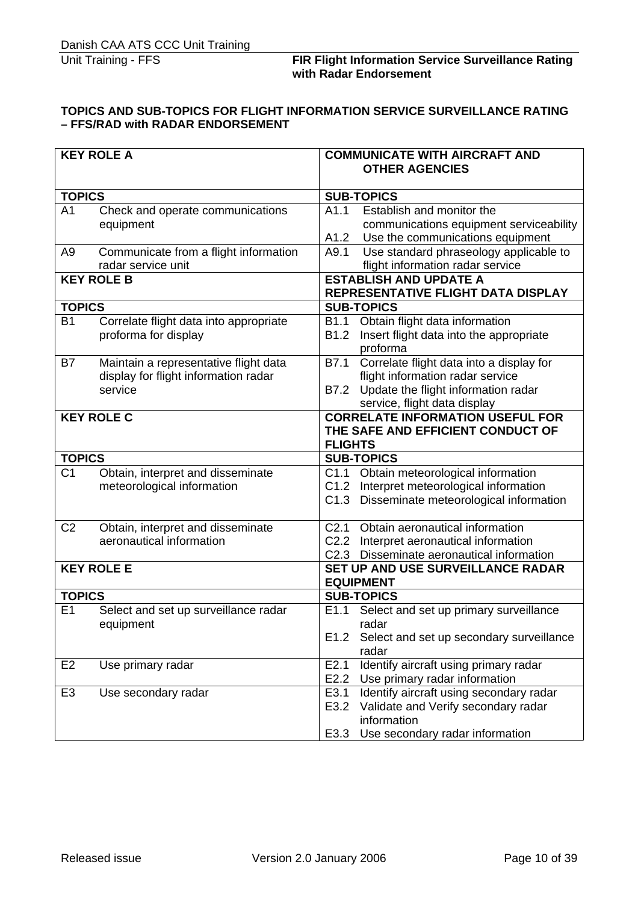#### **TOPICS AND SUB-TOPICS FOR FLIGHT INFORMATION SERVICE SURVEILLANCE RATING – FFS/RAD with RADAR ENDORSEMENT**

| <b>KEY ROLE A</b> |                                        | <b>COMMUNICATE WITH AIRCRAFT AND</b> |                                                                     |
|-------------------|----------------------------------------|--------------------------------------|---------------------------------------------------------------------|
|                   |                                        |                                      | <b>OTHER AGENCIES</b>                                               |
| <b>TOPICS</b>     |                                        |                                      | <b>SUB-TOPICS</b>                                                   |
| A <sub>1</sub>    | Check and operate communications       | A1.1                                 | Establish and monitor the                                           |
|                   | equipment                              |                                      | communications equipment serviceability                             |
|                   |                                        | A1.2                                 | Use the communications equipment                                    |
| A <sub>9</sub>    | Communicate from a flight information  | A9.1                                 | Use standard phraseology applicable to                              |
|                   | radar service unit                     |                                      | flight information radar service                                    |
|                   | <b>KEY ROLE B</b>                      |                                      | <b>ESTABLISH AND UPDATE A</b><br>REPRESENTATIVE FLIGHT DATA DISPLAY |
| <b>TOPICS</b>     |                                        |                                      | <b>SUB-TOPICS</b>                                                   |
| <b>B1</b>         | Correlate flight data into appropriate | B1.1                                 | Obtain flight data information                                      |
|                   | proforma for display                   | B1.2                                 | Insert flight data into the appropriate<br>proforma                 |
| B7                | Maintain a representative flight data  | B7.1                                 | Correlate flight data into a display for                            |
|                   | display for flight information radar   |                                      | flight information radar service                                    |
|                   | service                                | B7.2                                 | Update the flight information radar                                 |
|                   |                                        |                                      | service, flight data display                                        |
|                   | <b>KEY ROLE C</b>                      |                                      | <b>CORRELATE INFORMATION USEFUL FOR</b>                             |
|                   |                                        | <b>FLIGHTS</b>                       | THE SAFE AND EFFICIENT CONDUCT OF                                   |
| <b>TOPICS</b>     |                                        |                                      | <b>SUB-TOPICS</b>                                                   |
| C <sub>1</sub>    | Obtain, interpret and disseminate      |                                      | C1.1 Obtain meteorological information                              |
|                   | meteorological information             |                                      | C1.2 Interpret meteorological information                           |
|                   |                                        |                                      | C1.3 Disseminate meteorological information                         |
|                   |                                        |                                      |                                                                     |
| C <sub>2</sub>    | Obtain, interpret and disseminate      | C <sub>2.1</sub>                     | Obtain aeronautical information                                     |
|                   | aeronautical information               |                                      | C2.2 Interpret aeronautical information                             |
|                   |                                        |                                      | C2.3 Disseminate aeronautical information                           |
|                   | <b>KEY ROLE E</b>                      |                                      | SET UP AND USE SURVEILLANCE RADAR                                   |
| <b>TOPICS</b>     |                                        |                                      | <b>EQUIPMENT</b><br><b>SUB-TOPICS</b>                               |
| E1                | Select and set up surveillance radar   | E <sub>1.1</sub>                     | Select and set up primary surveillance                              |
|                   | equipment                              |                                      | radar                                                               |
|                   |                                        | E1.2                                 | Select and set up secondary surveillance                            |
|                   |                                        |                                      | radar                                                               |
| E <sub>2</sub>    | Use primary radar                      | E2.1                                 | Identify aircraft using primary radar                               |
|                   |                                        | E2.2                                 | Use primary radar information                                       |
| E <sub>3</sub>    | Use secondary radar                    | E3.1                                 | Identify aircraft using secondary radar                             |
|                   |                                        | E3.2                                 | Validate and Verify secondary radar                                 |
|                   |                                        |                                      | information                                                         |
|                   |                                        | E3.3                                 | Use secondary radar information                                     |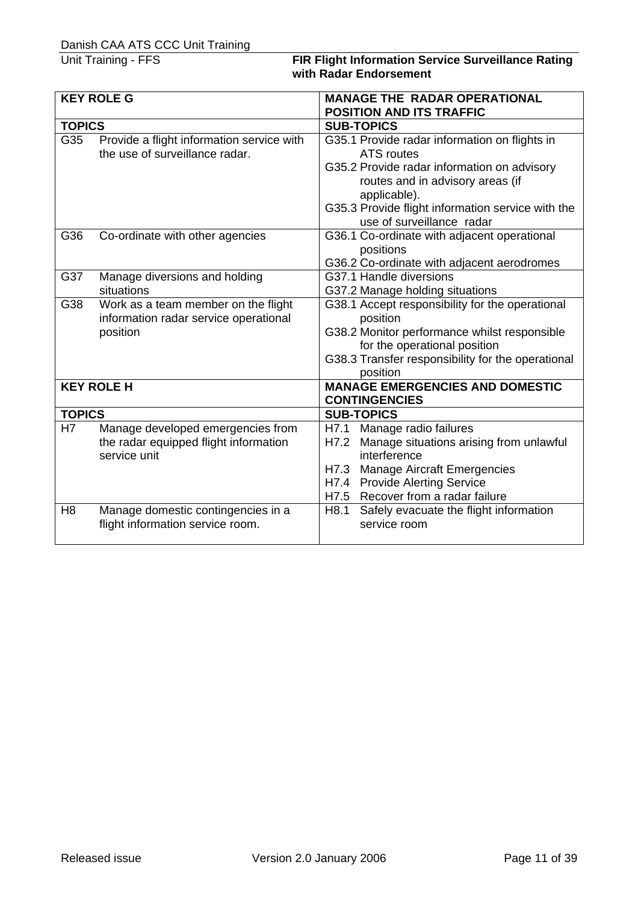|                | <b>KEY ROLE G</b>                         | <b>MANAGE THE RADAR OPERATIONAL</b>               |  |
|----------------|-------------------------------------------|---------------------------------------------------|--|
|                |                                           | <b>POSITION AND ITS TRAFFIC</b>                   |  |
| <b>TOPICS</b>  |                                           | <b>SUB-TOPICS</b>                                 |  |
| G35            | Provide a flight information service with | G35.1 Provide radar information on flights in     |  |
|                | the use of surveillance radar.            | <b>ATS</b> routes                                 |  |
|                |                                           | G35.2 Provide radar information on advisory       |  |
|                |                                           | routes and in advisory areas (if                  |  |
|                |                                           | applicable).                                      |  |
|                |                                           | G35.3 Provide flight information service with the |  |
|                |                                           | use of surveillance radar                         |  |
| G36            | Co-ordinate with other agencies           | G36.1 Co-ordinate with adjacent operational       |  |
|                |                                           | positions                                         |  |
|                |                                           | G36.2 Co-ordinate with adjacent aerodromes        |  |
| G37            | Manage diversions and holding             | G37.1 Handle diversions                           |  |
|                | situations                                | G37.2 Manage holding situations                   |  |
| G38            | Work as a team member on the flight       | G38.1 Accept responsibility for the operational   |  |
|                | information radar service operational     | position                                          |  |
|                | position                                  | G38.2 Monitor performance whilst responsible      |  |
|                |                                           | for the operational position                      |  |
|                |                                           | G38.3 Transfer responsibility for the operational |  |
|                |                                           | position                                          |  |
|                | <b>KEY ROLE H</b>                         | <b>MANAGE EMERGENCIES AND DOMESTIC</b>            |  |
|                |                                           | <b>CONTINGENCIES</b>                              |  |
| <b>TOPICS</b>  |                                           | <b>SUB-TOPICS</b>                                 |  |
| H7             | Manage developed emergencies from         | H7.1<br>Manage radio failures                     |  |
|                | the radar equipped flight information     | Manage situations arising from unlawful<br>H7.2   |  |
|                | service unit                              | interference                                      |  |
|                |                                           | H7.3 Manage Aircraft Emergencies                  |  |
|                |                                           | H7.4 Provide Alerting Service                     |  |
|                |                                           | H7.5 Recover from a radar failure                 |  |
| H <sub>8</sub> | Manage domestic contingencies in a        | Safely evacuate the flight information<br>H8.1    |  |
|                | flight information service room.          | service room                                      |  |
|                |                                           |                                                   |  |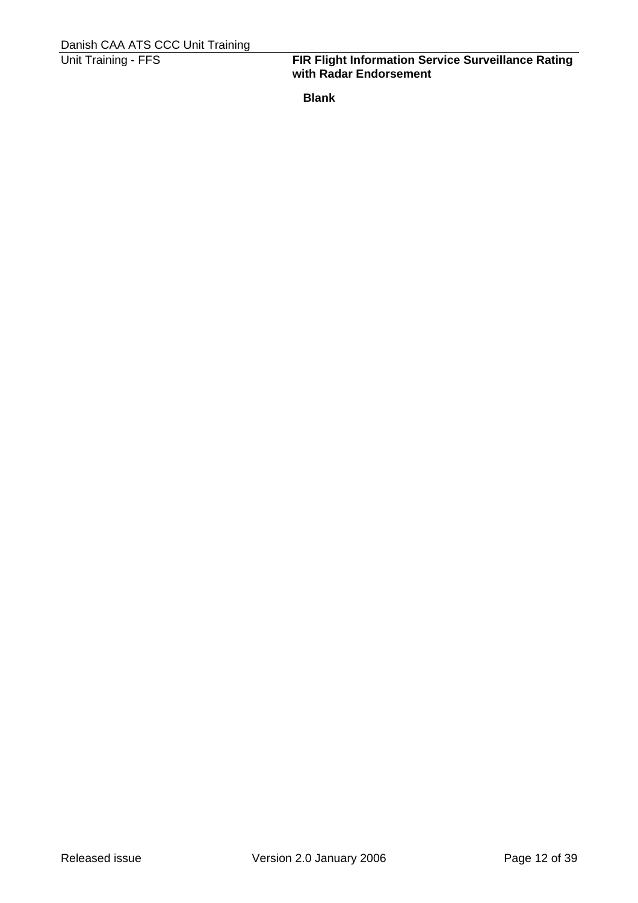**Blank**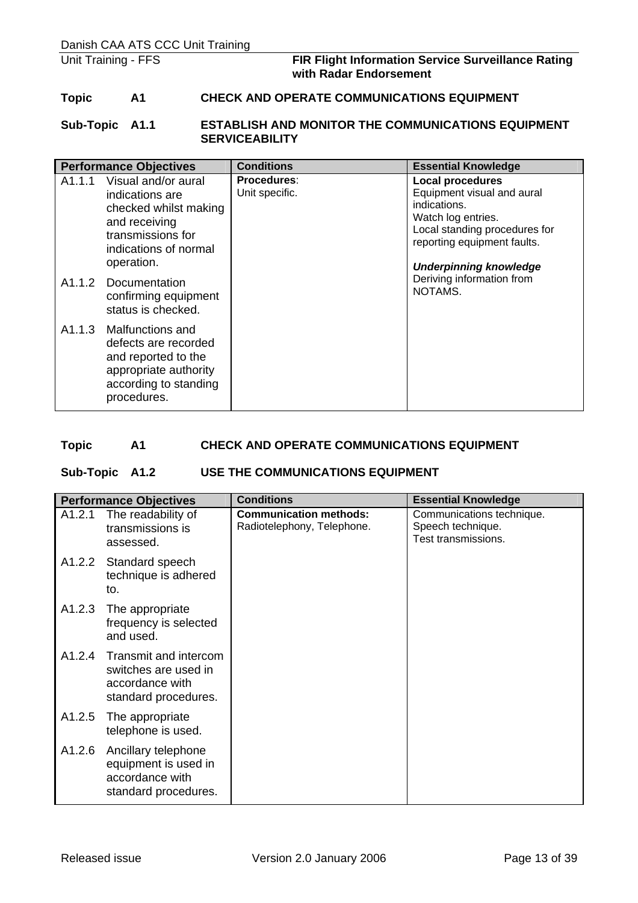#### **Topic A1 CHECK AND OPERATE COMMUNICATIONS EQUIPMENT**

#### **Sub-Topic A1.1 ESTABLISH AND MONITOR THE COMMUNICATIONS EQUIPMENT SERVICEABILITY**

|                    | <b>Performance Objectives</b>                                                                                                                | <b>Conditions</b>                    | <b>Essential Knowledge</b>                                                                                                                                                                   |
|--------------------|----------------------------------------------------------------------------------------------------------------------------------------------|--------------------------------------|----------------------------------------------------------------------------------------------------------------------------------------------------------------------------------------------|
| A1.1.1             | Visual and/or aural<br>indications are<br>checked whilst making<br>and receiving<br>transmissions for<br>indications of normal<br>operation. | <b>Procedures:</b><br>Unit specific. | <b>Local procedures</b><br>Equipment visual and aural<br>indications.<br>Watch log entries.<br>Local standing procedures for<br>reporting equipment faults.<br><b>Underpinning knowledge</b> |
| A <sub>1.1.2</sub> | Documentation<br>confirming equipment<br>status is checked.                                                                                  |                                      | Deriving information from<br>NOTAMS.                                                                                                                                                         |
| A1.1.3             | Malfunctions and<br>defects are recorded<br>and reported to the<br>appropriate authority<br>according to standing<br>procedures.             |                                      |                                                                                                                                                                                              |

#### **Topic A1 CHECK AND OPERATE COMMUNICATIONS EQUIPMENT**

#### **Sub-Topic A1.2 USE THE COMMUNICATIONS EQUIPMENT**

|        | <b>Performance Objectives</b>                                                                   | <b>Conditions</b>                                           | <b>Essential Knowledge</b>                                            |
|--------|-------------------------------------------------------------------------------------------------|-------------------------------------------------------------|-----------------------------------------------------------------------|
| A1.2.1 | The readability of<br>transmissions is<br>assessed.                                             | <b>Communication methods:</b><br>Radiotelephony, Telephone. | Communications technique.<br>Speech technique.<br>Test transmissions. |
|        | A1.2.2 Standard speech<br>technique is adhered<br>to.                                           |                                                             |                                                                       |
| A1.2.3 | The appropriate<br>frequency is selected<br>and used.                                           |                                                             |                                                                       |
|        | A1.2.4 Transmit and intercom<br>switches are used in<br>accordance with<br>standard procedures. |                                                             |                                                                       |
| A1.2.5 | The appropriate<br>telephone is used.                                                           |                                                             |                                                                       |
| A1.2.6 | Ancillary telephone<br>equipment is used in<br>accordance with<br>standard procedures.          |                                                             |                                                                       |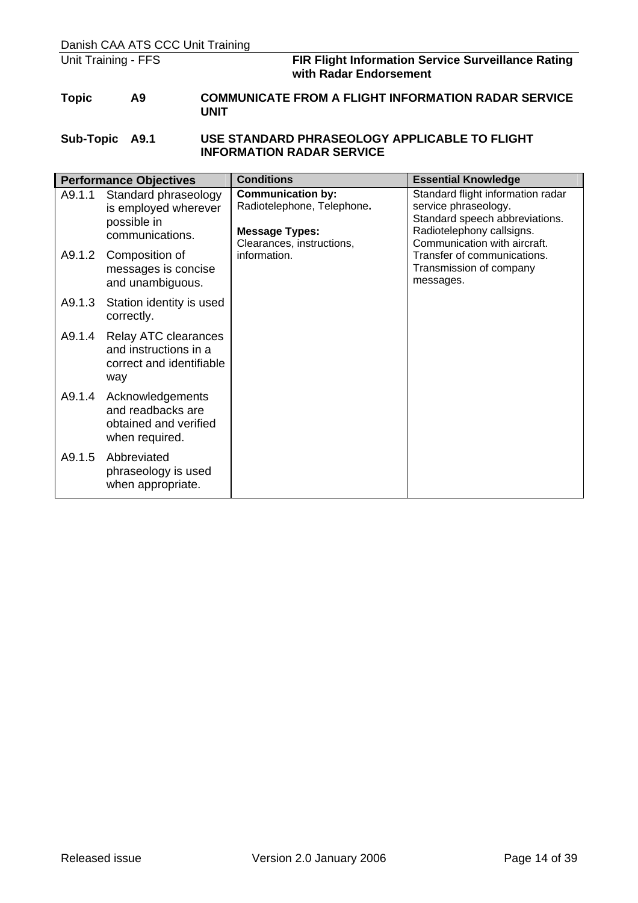## **Topic A9 COMMUNICATE FROM A FLIGHT INFORMATION RADAR SERVICE UNIT**

#### **Sub-Topic A9.1 USE STANDARD PHRASEOLOGY APPLICABLE TO FLIGHT INFORMATION RADAR SERVICE**

|        | <b>Performance Objectives</b>                                                           | <b>Conditions</b>                                                                                            | <b>Essential Knowledge</b>                                                                                                                               |
|--------|-----------------------------------------------------------------------------------------|--------------------------------------------------------------------------------------------------------------|----------------------------------------------------------------------------------------------------------------------------------------------------------|
| A9.1.1 | Standard phraseology<br>is employed wherever<br>possible in<br>communications.          | <b>Communication by:</b><br>Radiotelephone, Telephone.<br><b>Message Types:</b><br>Clearances, instructions, | Standard flight information radar<br>service phraseology.<br>Standard speech abbreviations.<br>Radiotelephony callsigns.<br>Communication with aircraft. |
| A9.1.2 | Composition of<br>messages is concise<br>and unambiguous.                               | information.                                                                                                 | Transfer of communications.<br>Transmission of company<br>messages.                                                                                      |
| A9.1.3 | Station identity is used<br>correctly.                                                  |                                                                                                              |                                                                                                                                                          |
|        | A9.1.4 Relay ATC clearances<br>and instructions in a<br>correct and identifiable<br>way |                                                                                                              |                                                                                                                                                          |
|        | A9.1.4 Acknowledgements<br>and readbacks are<br>obtained and verified<br>when required. |                                                                                                              |                                                                                                                                                          |
| A9.1.5 | Abbreviated<br>phraseology is used<br>when appropriate.                                 |                                                                                                              |                                                                                                                                                          |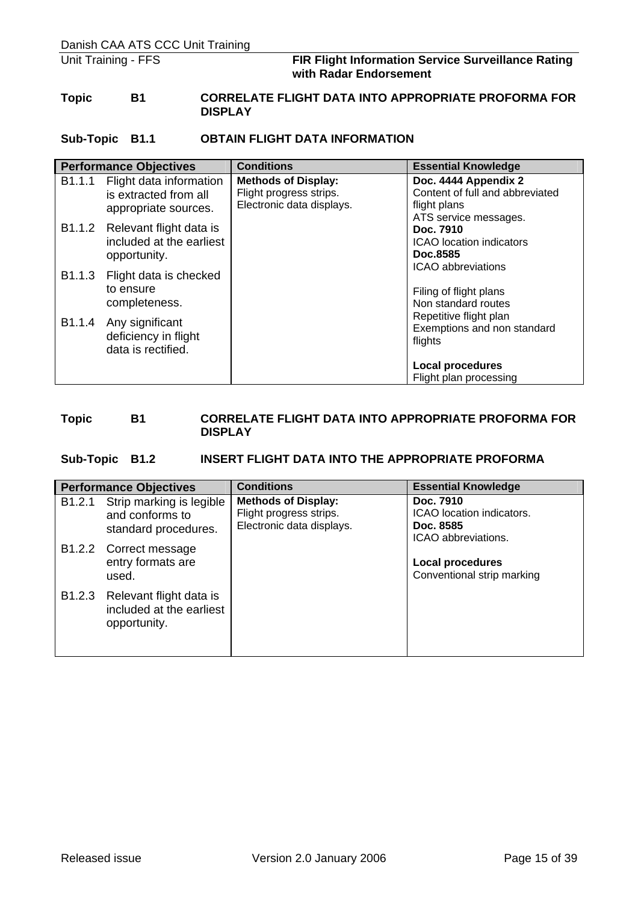## **Topic B1 CORRELATE FLIGHT DATA INTO APPROPRIATE PROFORMA FOR DISPLAY**

## **Sub-Topic B1.1 OBTAIN FLIGHT DATA INFORMATION**

| <b>Performance Objectives</b> |                                                                            | <b>Conditions</b>                                                                  | <b>Essential Knowledge</b>                                                                       |
|-------------------------------|----------------------------------------------------------------------------|------------------------------------------------------------------------------------|--------------------------------------------------------------------------------------------------|
| B1.1.1                        | Flight data information<br>is extracted from all<br>appropriate sources.   | <b>Methods of Display:</b><br>Flight progress strips.<br>Electronic data displays. | Doc. 4444 Appendix 2<br>Content of full and abbreviated<br>flight plans<br>ATS service messages. |
|                               | B1.1.2 Relevant flight data is<br>included at the earliest<br>opportunity. |                                                                                    | Doc. 7910<br><b>ICAO</b> location indicators<br>Doc.8585                                         |
|                               | B1.1.3 Flight data is checked<br>to ensure<br>completeness.                |                                                                                    | ICAO abbreviations<br>Filing of flight plans<br>Non standard routes                              |
| B1.1.4                        | Any significant<br>deficiency in flight<br>data is rectified.              |                                                                                    | Repetitive flight plan<br>Exemptions and non standard<br>flights                                 |
|                               |                                                                            |                                                                                    | <b>Local procedures</b><br>Flight plan processing                                                |

## **Topic B1 CORRELATE FLIGHT DATA INTO APPROPRIATE PROFORMA FOR DISPLAY**

#### **Sub-Topic B1.2 INSERT FLIGHT DATA INTO THE APPROPRIATE PROFORMA**

| <b>Performance Objectives</b> |                                                                            | <b>Conditions</b>                                                                  | <b>Essential Knowledge</b>                                                 |
|-------------------------------|----------------------------------------------------------------------------|------------------------------------------------------------------------------------|----------------------------------------------------------------------------|
|                               | B1.2.1 Strip marking is legible<br>and conforms to<br>standard procedures. | <b>Methods of Display:</b><br>Flight progress strips.<br>Electronic data displays. | Doc. 7910<br>ICAO location indicators.<br>Doc. 8585<br>ICAO abbreviations. |
|                               | B1.2.2 Correct message<br>entry formats are<br>used.                       |                                                                                    | <b>Local procedures</b><br>Conventional strip marking                      |
|                               | B1.2.3 Relevant flight data is<br>included at the earliest<br>opportunity. |                                                                                    |                                                                            |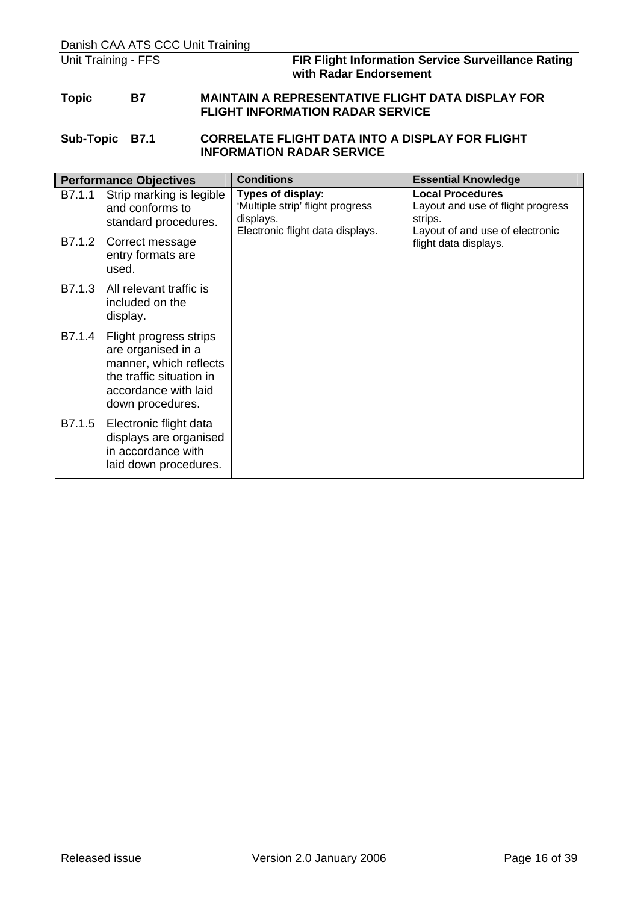## **Topic B7 MAINTAIN A REPRESENTATIVE FLIGHT DATA DISPLAY FOR FLIGHT INFORMATION RADAR SERVICE**

## **Sub-Topic B7.1 CORRELATE FLIGHT DATA INTO A DISPLAY FOR FLIGHT INFORMATION RADAR SERVICE**

|        | <b>Performance Objectives</b>                                                                                                                  | <b>Conditions</b>                                                                                             | <b>Essential Knowledge</b>                                                                                 |
|--------|------------------------------------------------------------------------------------------------------------------------------------------------|---------------------------------------------------------------------------------------------------------------|------------------------------------------------------------------------------------------------------------|
| B7.1.1 | Strip marking is legible<br>and conforms to<br>standard procedures.                                                                            | <b>Types of display:</b><br>'Multiple strip' flight progress<br>displays.<br>Electronic flight data displays. | <b>Local Procedures</b><br>Layout and use of flight progress<br>strips.<br>Layout of and use of electronic |
| B7.1.2 | Correct message<br>entry formats are<br>used.                                                                                                  |                                                                                                               | flight data displays.                                                                                      |
| B7.1.3 | All relevant traffic is<br>included on the<br>display.                                                                                         |                                                                                                               |                                                                                                            |
| B7.1.4 | Flight progress strips<br>are organised in a<br>manner, which reflects<br>the traffic situation in<br>accordance with laid<br>down procedures. |                                                                                                               |                                                                                                            |
| B7.1.5 | Electronic flight data<br>displays are organised<br>in accordance with<br>laid down procedures.                                                |                                                                                                               |                                                                                                            |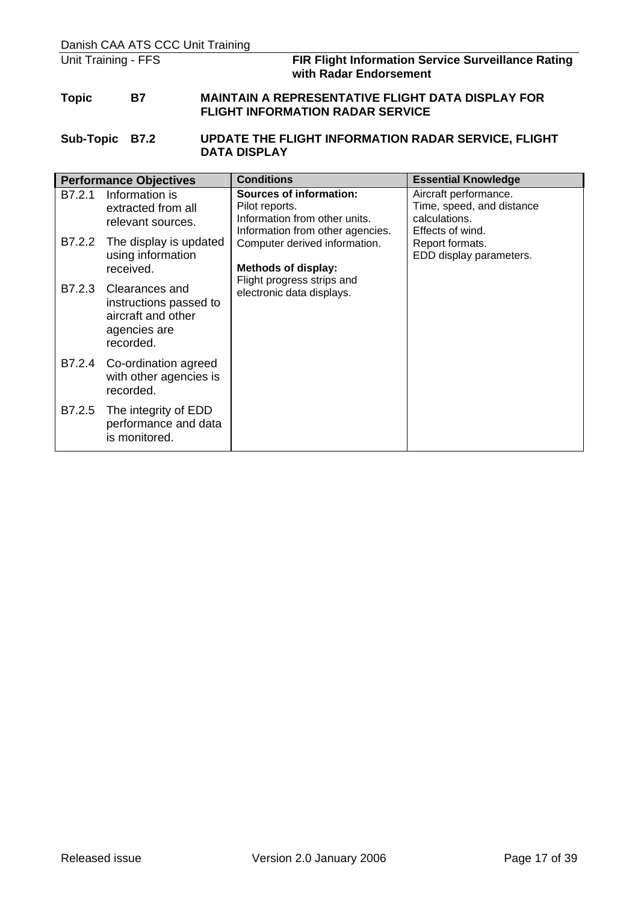## **Topic B7 MAINTAIN A REPRESENTATIVE FLIGHT DATA DISPLAY FOR FLIGHT INFORMATION RADAR SERVICE**

#### **Sub-Topic B7.2 UPDATE THE FLIGHT INFORMATION RADAR SERVICE, FLIGHT DATA DISPLAY**

|        | <b>Performance Objectives</b>                                                                      | <b>Conditions</b>                                                                                                     | <b>Essential Knowledge</b>                                                              |
|--------|----------------------------------------------------------------------------------------------------|-----------------------------------------------------------------------------------------------------------------------|-----------------------------------------------------------------------------------------|
| B7.2.1 | Information is<br>extracted from all<br>relevant sources.                                          | <b>Sources of information:</b><br>Pilot reports.<br>Information from other units.<br>Information from other agencies. | Aircraft performance.<br>Time, speed, and distance<br>calculations.<br>Effects of wind. |
| B7.2.2 | The display is updated<br>using information<br>received.                                           | Computer derived information.<br><b>Methods of display:</b>                                                           | Report formats.<br>EDD display parameters.                                              |
|        | B7.2.3 Clearances and<br>instructions passed to<br>aircraft and other<br>agencies are<br>recorded. | Flight progress strips and<br>electronic data displays.                                                               |                                                                                         |
| B7.2.4 | Co-ordination agreed<br>with other agencies is<br>recorded.                                        |                                                                                                                       |                                                                                         |
| B7.2.5 | The integrity of EDD<br>performance and data<br>is monitored.                                      |                                                                                                                       |                                                                                         |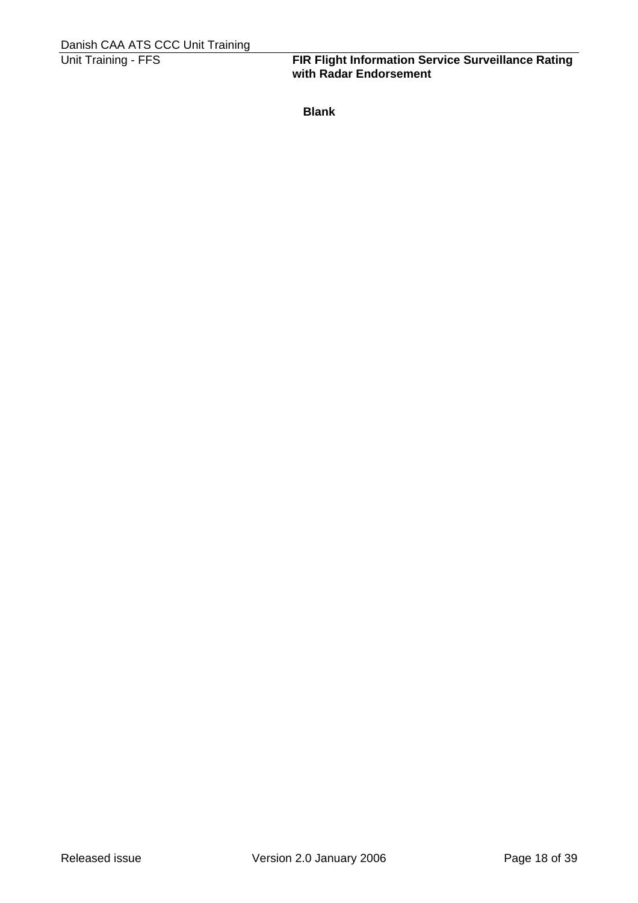**Blank**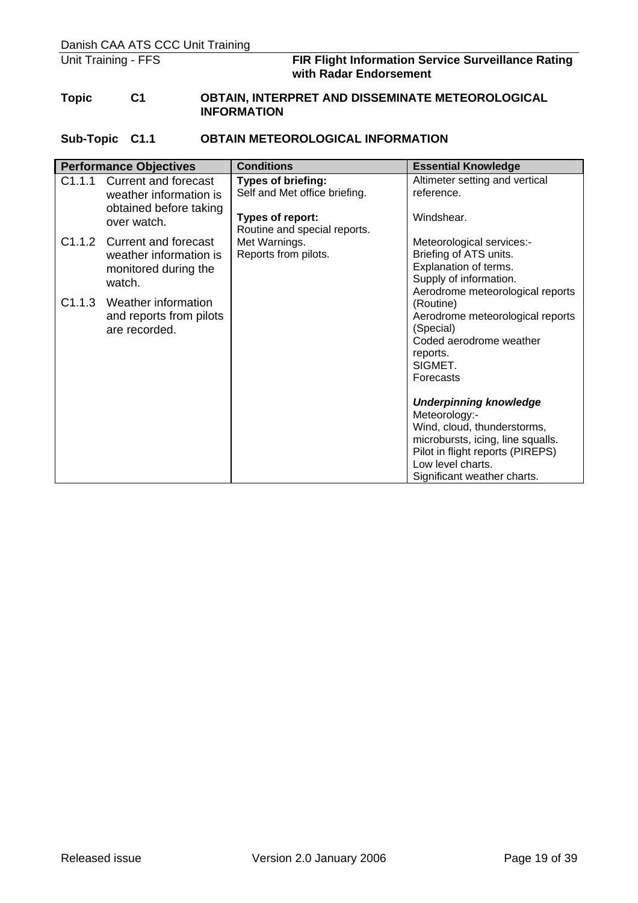## **FIR Flight Information Service Surveillance Rating with Radar Endorsement**

#### **Topic C1 OBTAIN, INTERPRET AND DISSEMINATE METEOROLOGICAL INFORMATION**

## **Sub-Topic C1.1 OBTAIN METEOROLOGICAL INFORMATION**

| <b>Performance Objectives</b>                         | <b>Conditions</b>                                          | <b>Essential Knowledge</b>                    |
|-------------------------------------------------------|------------------------------------------------------------|-----------------------------------------------|
| C1.1.1 Current and forecast<br>weather information is | <b>Types of briefing:</b><br>Self and Met office briefing. | Altimeter setting and vertical<br>reference.  |
| obtained before taking<br>over watch.                 | Types of report:<br>Routine and special reports.           | Windshear.                                    |
| C1.1.2 Current and forecast                           | Met Warnings.                                              | Meteorological services:-                     |
| weather information is                                | Reports from pilots.                                       | Briefing of ATS units.                        |
| monitored during the                                  |                                                            | Explanation of terms.                         |
| watch.                                                |                                                            | Supply of information.                        |
| C1.1.3 Weather information                            |                                                            | Aerodrome meteorological reports<br>(Routine) |
| and reports from pilots                               |                                                            | Aerodrome meteorological reports              |
| are recorded.                                         |                                                            | (Special)                                     |
|                                                       |                                                            | Coded aerodrome weather                       |
|                                                       |                                                            | reports.                                      |
|                                                       |                                                            | SIGMET.                                       |
|                                                       |                                                            | Forecasts                                     |
|                                                       |                                                            | <b>Underpinning knowledge</b>                 |
|                                                       |                                                            | Meteorology:-                                 |
|                                                       |                                                            | Wind, cloud, thunderstorms,                   |
|                                                       |                                                            | microbursts, icing, line squalls.             |
|                                                       |                                                            | Pilot in flight reports (PIREPS)              |
|                                                       |                                                            | Low level charts.                             |
|                                                       |                                                            | Significant weather charts.                   |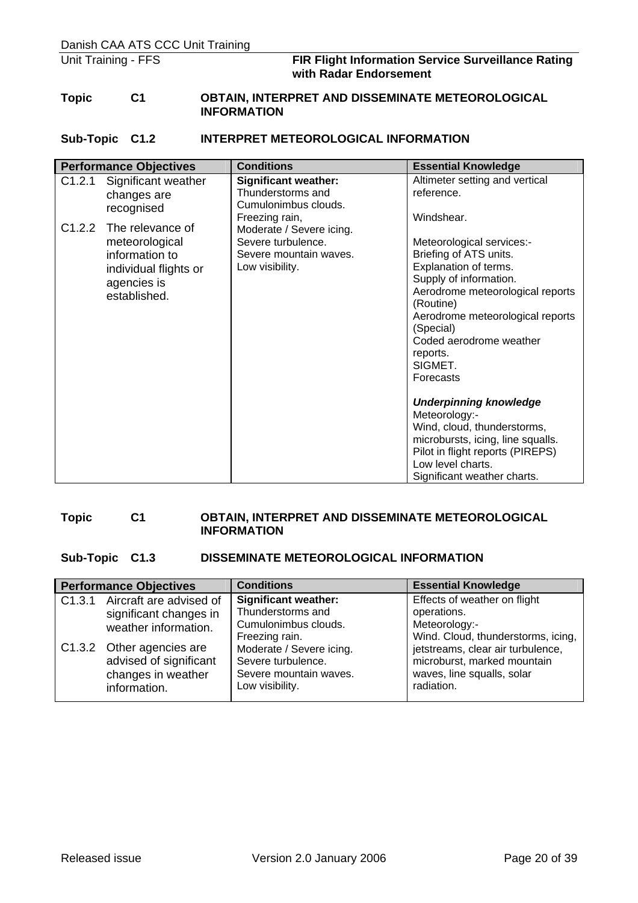#### **Topic C1 OBTAIN, INTERPRET AND DISSEMINATE METEOROLOGICAL INFORMATION**

#### **Sub-Topic C1.2 INTERPRET METEOROLOGICAL INFORMATION**

|        | <b>Performance Objectives</b>                                                                                | <b>Conditions</b>                                                                           | <b>Essential Knowledge</b>                                                                                                                                                                                                                                              |
|--------|--------------------------------------------------------------------------------------------------------------|---------------------------------------------------------------------------------------------|-------------------------------------------------------------------------------------------------------------------------------------------------------------------------------------------------------------------------------------------------------------------------|
| C1.2.1 | Significant weather<br>changes are<br>recognised                                                             | <b>Significant weather:</b><br>Thunderstorms and<br>Cumulonimbus clouds.<br>Freezing rain,  | Altimeter setting and vertical<br>reference.<br>Windshear.                                                                                                                                                                                                              |
| C1.2.2 | The relevance of<br>meteorological<br>information to<br>individual flights or<br>agencies is<br>established. | Moderate / Severe icing.<br>Severe turbulence.<br>Severe mountain waves.<br>Low visibility. | Meteorological services:-<br>Briefing of ATS units.<br>Explanation of terms.<br>Supply of information.<br>Aerodrome meteorological reports<br>(Routine)<br>Aerodrome meteorological reports<br>(Special)<br>Coded aerodrome weather<br>reports.<br>SIGMET.<br>Forecasts |
|        |                                                                                                              |                                                                                             | <b>Underpinning knowledge</b><br>Meteorology:-<br>Wind, cloud, thunderstorms,<br>microbursts, icing, line squalls.<br>Pilot in flight reports (PIREPS)<br>Low level charts.<br>Significant weather charts.                                                              |

## **Topic C1 OBTAIN, INTERPRET AND DISSEMINATE METEOROLOGICAL INFORMATION**

#### **Sub-Topic C1.3 DISSEMINATE METEOROLOGICAL INFORMATION**

| <b>Performance Objectives</b> |                                | <b>Conditions</b>                      | <b>Essential Knowledge</b>                          |
|-------------------------------|--------------------------------|----------------------------------------|-----------------------------------------------------|
|                               | C1.3.1 Aircraft are advised of | <b>Significant weather:</b>            | Effects of weather on flight                        |
|                               | significant changes in         | Thunderstorms and                      | operations.                                         |
|                               | weather information.           | Cumulonimbus clouds.<br>Freezing rain. | Meteorology:-<br>Wind. Cloud, thunderstorms, icing, |
|                               | C1.3.2 Other agencies are      | Moderate / Severe icing.               | jetstreams, clear air turbulence,                   |
|                               | advised of significant         | Severe turbulence.                     | microburst, marked mountain                         |
|                               | changes in weather             | Severe mountain waves.                 | waves, line squalls, solar                          |
|                               | information.                   | Low visibility.                        | radiation.                                          |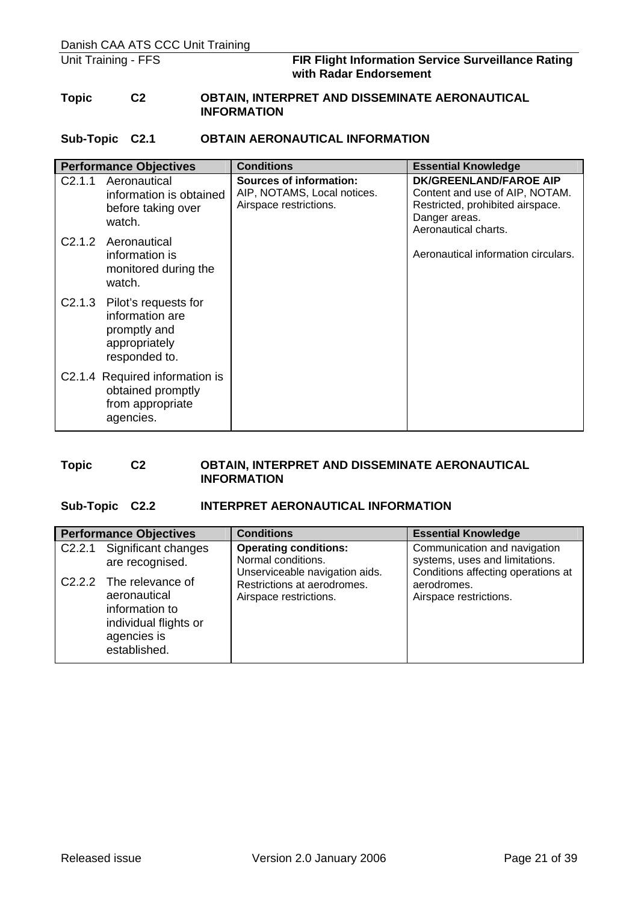#### **Topic C2 OBTAIN, INTERPRET AND DISSEMINATE AERONAUTICAL INFORMATION**

## **Sub-Topic C2.1 OBTAIN AERONAUTICAL INFORMATION**

|        | <b>Performance Objectives</b>                                                                    | <b>Conditions</b>                                                                | <b>Essential Knowledge</b>                                                                                                                   |
|--------|--------------------------------------------------------------------------------------------------|----------------------------------------------------------------------------------|----------------------------------------------------------------------------------------------------------------------------------------------|
| C2.1.1 | Aeronautical<br>information is obtained<br>before taking over<br>watch.                          | Sources of information:<br>AIP, NOTAMS, Local notices.<br>Airspace restrictions. | <b>DK/GREENLAND/FAROE AIP</b><br>Content and use of AIP, NOTAM.<br>Restricted, prohibited airspace.<br>Danger areas.<br>Aeronautical charts. |
| C2.1.2 | Aeronautical<br>information is<br>monitored during the<br>watch.                                 |                                                                                  | Aeronautical information circulars.                                                                                                          |
|        | C2.1.3 Pilot's requests for<br>information are<br>promptly and<br>appropriately<br>responded to. |                                                                                  |                                                                                                                                              |
|        | C2.1.4 Required information is<br>obtained promptly<br>from appropriate<br>agencies.             |                                                                                  |                                                                                                                                              |

#### **Topic C2 OBTAIN, INTERPRET AND DISSEMINATE AERONAUTICAL INFORMATION**

#### **Sub-Topic C2.2 INTERPRET AERONAUTICAL INFORMATION**

| <b>Performance Objectives</b> |                                                                                                                   | <b>Conditions</b>                                                                    | <b>Essential Knowledge</b>                                                                           |
|-------------------------------|-------------------------------------------------------------------------------------------------------------------|--------------------------------------------------------------------------------------|------------------------------------------------------------------------------------------------------|
|                               | C2.2.1 Significant changes<br>are recognised.                                                                     | <b>Operating conditions:</b><br>Normal conditions.<br>Unserviceable navigation aids. | Communication and navigation<br>systems, uses and limitations.<br>Conditions affecting operations at |
|                               | C2.2.2 The relevance of<br>aeronautical<br>information to<br>individual flights or<br>agencies is<br>established. | Restrictions at aerodromes.<br>Airspace restrictions.                                | aerodromes.<br>Airspace restrictions.                                                                |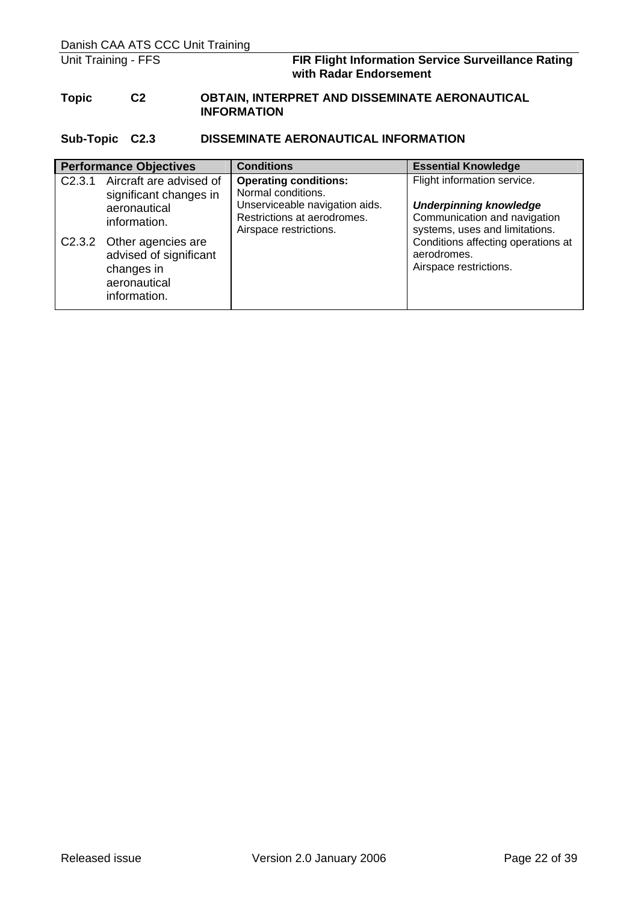#### **Topic C2 OBTAIN, INTERPRET AND DISSEMINATE AERONAUTICAL INFORMATION**

## **Sub-Topic C2.3 DISSEMINATE AERONAUTICAL INFORMATION**

| <b>Performance Objectives</b> |                                                                                                   | <b>Conditions</b>                                                                                                   | <b>Essential Knowledge</b>                                                                                    |
|-------------------------------|---------------------------------------------------------------------------------------------------|---------------------------------------------------------------------------------------------------------------------|---------------------------------------------------------------------------------------------------------------|
|                               | C2.3.1 Aircraft are advised of<br>significant changes in<br>aeronautical<br>information.          | <b>Operating conditions:</b><br>Normal conditions.<br>Unserviceable navigation aids.<br>Restrictions at aerodromes. | Flight information service.<br><b>Underpinning knowledge</b><br>Communication and navigation                  |
|                               | C2.3.2 Other agencies are<br>advised of significant<br>changes in<br>aeronautical<br>information. | Airspace restrictions.                                                                                              | systems, uses and limitations.<br>Conditions affecting operations at<br>aerodromes.<br>Airspace restrictions. |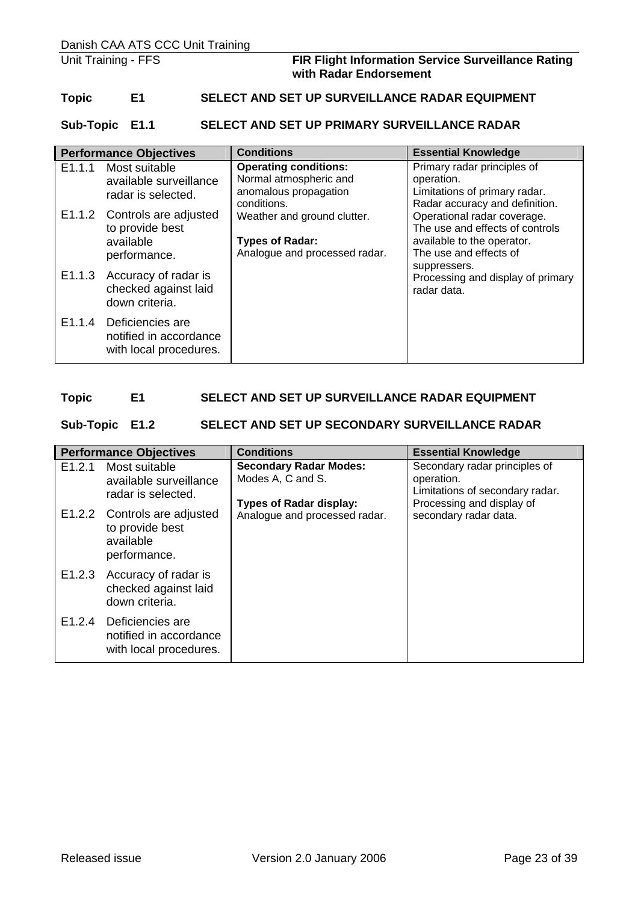## **Topic E1 SELECT AND SET UP SURVEILLANCE RADAR EQUIPMENT**

## **Sub-Topic E1.1 SELECT AND SET UP PRIMARY SURVEILLANCE RADAR**

|        | <b>Performance Objectives</b>                                                | <b>Conditions</b>                                                                              | <b>Essential Knowledge</b>                                                                                             |
|--------|------------------------------------------------------------------------------|------------------------------------------------------------------------------------------------|------------------------------------------------------------------------------------------------------------------------|
| E1.1.1 | Most suitable<br>available surveillance<br>radar is selected.                | <b>Operating conditions:</b><br>Normal atmospheric and<br>anomalous propagation<br>conditions. | Primary radar principles of<br>operation.<br>Limitations of primary radar.<br>Radar accuracy and definition.           |
|        | E1.1.2 Controls are adjusted<br>to provide best<br>available<br>performance. | Weather and ground clutter.<br><b>Types of Radar:</b><br>Analogue and processed radar.         | Operational radar coverage.<br>The use and effects of controls<br>available to the operator.<br>The use and effects of |
| E1.1.3 | Accuracy of radar is<br>checked against laid<br>down criteria.               |                                                                                                | suppressers.<br>Processing and display of primary<br>radar data.                                                       |
|        | E1.1.4 Deficiencies are<br>notified in accordance<br>with local procedures.  |                                                                                                |                                                                                                                        |

#### **Topic E1 SELECT AND SET UP SURVEILLANCE RADAR EQUIPMENT**

## **Sub-Topic E1.2 SELECT AND SET UP SECONDARY SURVEILLANCE RADAR**

| <b>Performance Objectives</b> |                                                                              | <b>Conditions</b>                                               | <b>Essential Knowledge</b>                                                     |
|-------------------------------|------------------------------------------------------------------------------|-----------------------------------------------------------------|--------------------------------------------------------------------------------|
| E1.2.1                        | Most suitable<br>available surveillance<br>radar is selected.                | <b>Secondary Radar Modes:</b><br>Modes A, C and S.              | Secondary radar principles of<br>operation.<br>Limitations of secondary radar. |
|                               | E1.2.2 Controls are adjusted<br>to provide best<br>available<br>performance. | <b>Types of Radar display:</b><br>Analogue and processed radar. | Processing and display of<br>secondary radar data.                             |
| E1.2.3                        | Accuracy of radar is<br>checked against laid<br>down criteria.               |                                                                 |                                                                                |
| E1.2.4                        | Deficiencies are<br>notified in accordance<br>with local procedures.         |                                                                 |                                                                                |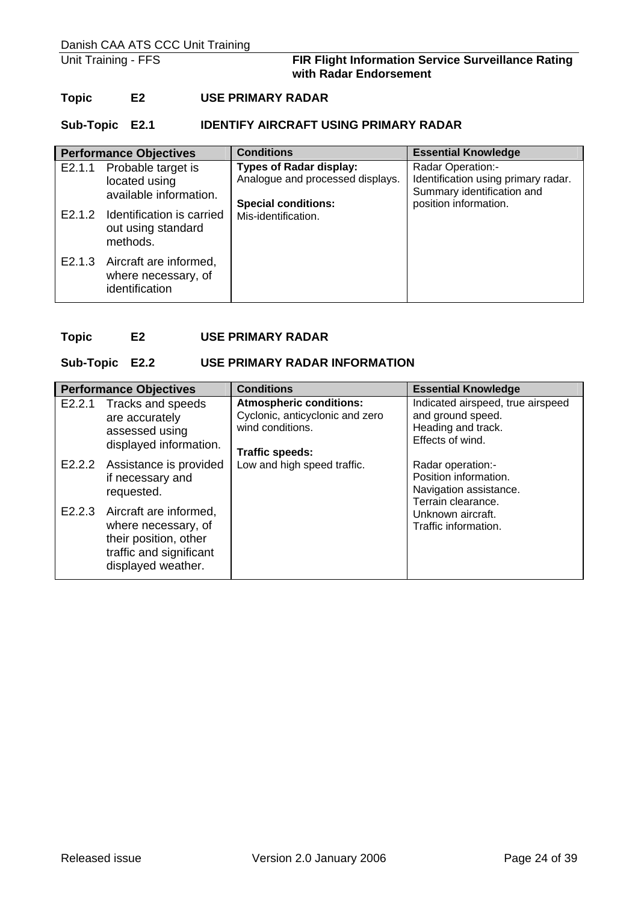## **FIR Flight Information Service Surveillance Rating with Radar Endorsement**

## **Topic E2 USE PRIMARY RADAR**

## **Sub-Topic E2.1 IDENTIFY AIRCRAFT USING PRIMARY RADAR**

| <b>Performance Objectives</b> |                                                                        | <b>Conditions</b>                                                                                                     | <b>Essential Knowledge</b>                                                                 |
|-------------------------------|------------------------------------------------------------------------|-----------------------------------------------------------------------------------------------------------------------|--------------------------------------------------------------------------------------------|
| E2.1.1                        | Probable target is<br>located using<br>available information.          | <b>Types of Radar display:</b><br>Radar Operation:-<br>Analogue and processed displays.<br><b>Special conditions:</b> | Identification using primary radar.<br>Summary identification and<br>position information. |
| E2.1.2                        | Identification is carried<br>out using standard<br>methods.            | Mis-identification.                                                                                                   |                                                                                            |
|                               | E2.1.3 Aircraft are informed,<br>where necessary, of<br>identification |                                                                                                                       |                                                                                            |

#### **Topic E2 USE PRIMARY RADAR**

#### **Sub-Topic E2.2 USE PRIMARY RADAR INFORMATION**

| <b>Performance Objectives</b> |                                                                                                                                | <b>Conditions</b>                                                                                               | <b>Essential Knowledge</b>                                                                       |
|-------------------------------|--------------------------------------------------------------------------------------------------------------------------------|-----------------------------------------------------------------------------------------------------------------|--------------------------------------------------------------------------------------------------|
|                               | E2.2.1 Tracks and speeds<br>are accurately<br>assessed using<br>displayed information.                                         | <b>Atmospheric conditions:</b><br>Cyclonic, anticyclonic and zero<br>wind conditions.<br><b>Traffic speeds:</b> | Indicated airspeed, true airspeed<br>and ground speed.<br>Heading and track.<br>Effects of wind. |
|                               | E2.2.2 Assistance is provided<br>if necessary and<br>requested.                                                                | Low and high speed traffic.                                                                                     | Radar operation:-<br>Position information.<br>Navigation assistance.<br>Terrain clearance.       |
|                               | E2.2.3 Aircraft are informed,<br>where necessary, of<br>their position, other<br>traffic and significant<br>displayed weather. |                                                                                                                 | Unknown aircraft.<br>Traffic information.                                                        |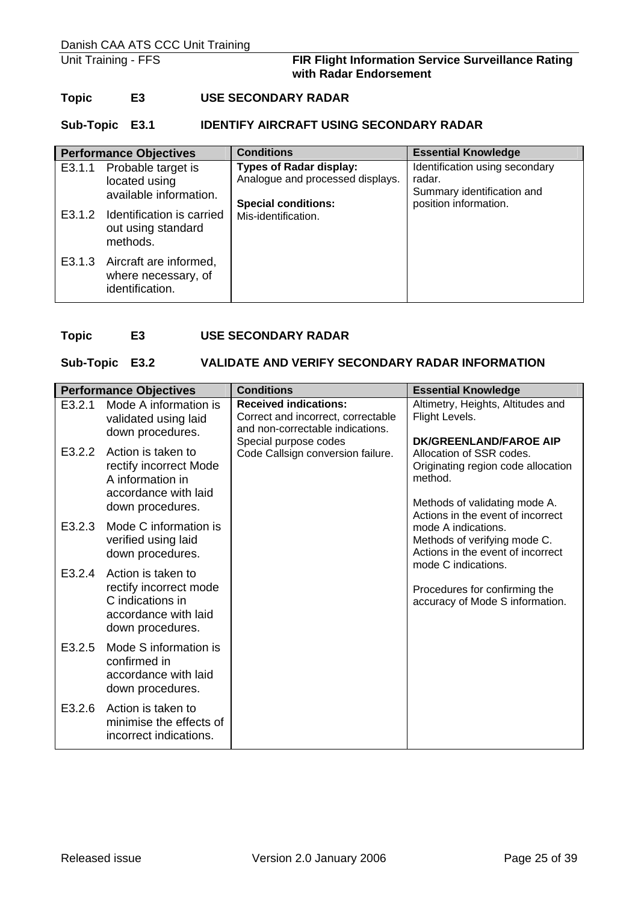## **Topic E3 USE SECONDARY RADAR**

## **Sub-Topic E3.1 IDENTIFY AIRCRAFT USING SECONDARY RADAR**

|        | <b>Performance Objectives</b>                                           | <b>Conditions</b>                                                                                | <b>Essential Knowledge</b>                                                                      |
|--------|-------------------------------------------------------------------------|--------------------------------------------------------------------------------------------------|-------------------------------------------------------------------------------------------------|
|        | E3.1.1 Probable target is<br>located using<br>available information.    | <b>Types of Radar display:</b><br>Analogue and processed displays.<br><b>Special conditions:</b> | Identification using secondary<br>radar.<br>Summary identification and<br>position information. |
| E3.1.2 | Identification is carried<br>out using standard<br>methods.             | Mis-identification.                                                                              |                                                                                                 |
|        | E3.1.3 Aircraft are informed,<br>where necessary, of<br>identification. |                                                                                                  |                                                                                                 |

## **Topic E3 USE SECONDARY RADAR**

#### **Sub-Topic E3.2 VALIDATE AND VERIFY SECONDARY RADAR INFORMATION**

|        | <b>Performance Objectives</b>                                                                                | <b>Conditions</b>                                                                                      | <b>Essential Knowledge</b>                                                                                                                      |
|--------|--------------------------------------------------------------------------------------------------------------|--------------------------------------------------------------------------------------------------------|-------------------------------------------------------------------------------------------------------------------------------------------------|
| E3.2.1 | Mode A information is<br>validated using laid<br>down procedures.                                            | <b>Received indications:</b><br>Correct and incorrect, correctable<br>and non-correctable indications. | Altimetry, Heights, Altitudes and<br>Flight Levels.<br><b>DK/GREENLAND/FAROE AIP</b>                                                            |
| E3.2.2 | Action is taken to<br>rectify incorrect Mode<br>A information in<br>accordance with laid<br>down procedures. | Special purpose codes<br>Code Callsign conversion failure.                                             | Allocation of SSR codes.<br>Originating region code allocation<br>method.<br>Methods of validating mode A.<br>Actions in the event of incorrect |
| E3.2.3 | Mode C information is<br>verified using laid<br>down procedures.                                             |                                                                                                        | mode A indications.<br>Methods of verifying mode C.<br>Actions in the event of incorrect                                                        |
| E3.2.4 | Action is taken to<br>rectify incorrect mode<br>C indications in<br>accordance with laid<br>down procedures. |                                                                                                        | mode C indications.<br>Procedures for confirming the<br>accuracy of Mode S information.                                                         |
| E3.2.5 | Mode S information is<br>confirmed in<br>accordance with laid<br>down procedures.                            |                                                                                                        |                                                                                                                                                 |
| E3.2.6 | Action is taken to<br>minimise the effects of<br>incorrect indications.                                      |                                                                                                        |                                                                                                                                                 |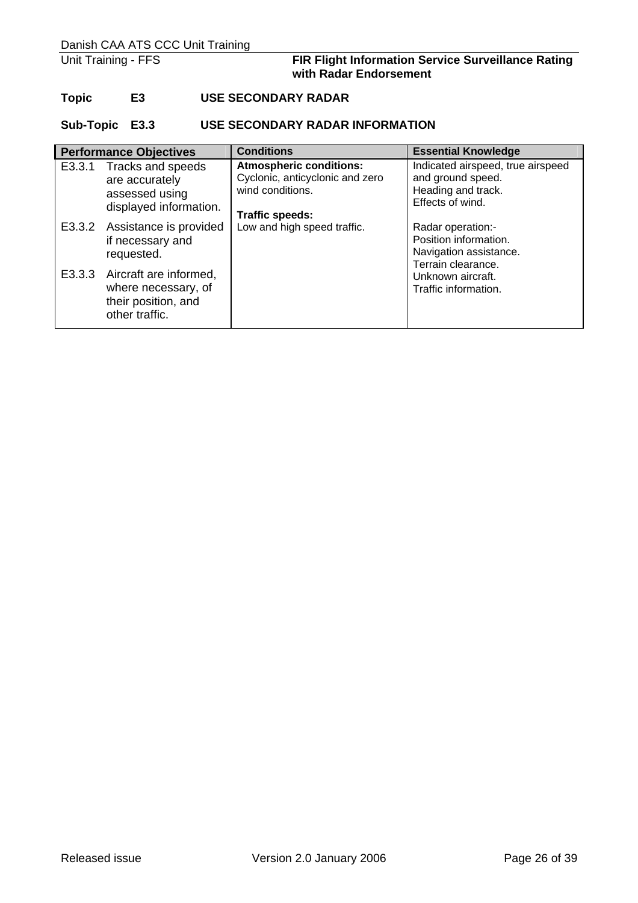## **FIR Flight Information Service Surveillance Rating with Radar Endorsement**

## **Topic E3 USE SECONDARY RADAR**

## **Sub-Topic E3.3 USE SECONDARY RADAR INFORMATION**

| <b>Performance Objectives</b>                                                                 | <b>Conditions</b>                                                                                        | <b>Essential Knowledge</b>                                                                       |
|-----------------------------------------------------------------------------------------------|----------------------------------------------------------------------------------------------------------|--------------------------------------------------------------------------------------------------|
| E3.3.1 Tracks and speeds<br>are accurately<br>assessed using<br>displayed information.        | <b>Atmospheric conditions:</b><br>Cyclonic, anticyclonic and zero<br>wind conditions.<br>Traffic speeds: | Indicated airspeed, true airspeed<br>and ground speed.<br>Heading and track.<br>Effects of wind. |
| E3.3.2 Assistance is provided<br>if necessary and<br>requested.                               | Low and high speed traffic.                                                                              | Radar operation:-<br>Position information.<br>Navigation assistance.<br>Terrain clearance.       |
| E3.3.3 Aircraft are informed,<br>where necessary, of<br>their position, and<br>other traffic. |                                                                                                          | Unknown aircraft.<br>Traffic information.                                                        |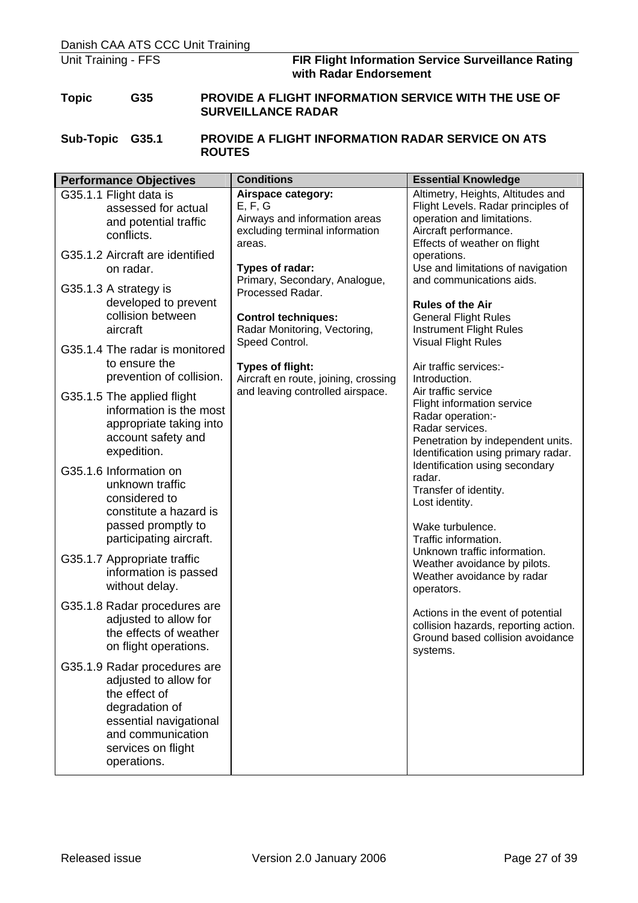|  |  |  |  | Danish CAA ATS CCC Unit Training |  |
|--|--|--|--|----------------------------------|--|
|  |  |  |  |                                  |  |

## **Topic G35 PROVIDE A FLIGHT INFORMATION SERVICE WITH THE USE OF SURVEILLANCE RADAR**

### **Sub-Topic G35.1 PROVIDE A FLIGHT INFORMATION RADAR SERVICE ON ATS ROUTES**

| <b>Performance Objectives</b>                                                                                                                                                | <b>Conditions</b>                                                                                               | <b>Essential Knowledge</b>                                                                                                                                                             |
|------------------------------------------------------------------------------------------------------------------------------------------------------------------------------|-----------------------------------------------------------------------------------------------------------------|----------------------------------------------------------------------------------------------------------------------------------------------------------------------------------------|
| G35.1.1 Flight data is<br>assessed for actual<br>and potential traffic<br>conflicts.                                                                                         | Airspace category:<br>E, F, G<br>Airways and information areas<br>excluding terminal information<br>areas.      | Altimetry, Heights, Altitudes and<br>Flight Levels. Radar principles of<br>operation and limitations.<br>Aircraft performance.<br>Effects of weather on flight                         |
| G35.1.2 Aircraft are identified<br>on radar.                                                                                                                                 | Types of radar:                                                                                                 | operations.<br>Use and limitations of navigation                                                                                                                                       |
| G35.1.3 A strategy is<br>developed to prevent<br>collision between<br>aircraft                                                                                               | Primary, Secondary, Analogue,<br>Processed Radar.<br><b>Control techniques:</b><br>Radar Monitoring, Vectoring, | and communications aids.<br><b>Rules of the Air</b><br><b>General Flight Rules</b><br><b>Instrument Flight Rules</b>                                                                   |
| G35.1.4 The radar is monitored<br>to ensure the                                                                                                                              | Speed Control.<br>Types of flight:                                                                              | <b>Visual Flight Rules</b><br>Air traffic services:-                                                                                                                                   |
| prevention of collision.<br>G35.1.5 The applied flight<br>information is the most<br>appropriate taking into<br>account safety and<br>expedition.                            | Aircraft en route, joining, crossing<br>and leaving controlled airspace.                                        | Introduction.<br>Air traffic service<br>Flight information service<br>Radar operation:-<br>Radar services.<br>Penetration by independent units.<br>Identification using primary radar. |
| G35.1.6 Information on<br>unknown traffic<br>considered to<br>constitute a hazard is<br>passed promptly to<br>participating aircraft.                                        |                                                                                                                 | Identification using secondary<br>radar.<br>Transfer of identity.<br>Lost identity.<br>Wake turbulence.<br>Traffic information.                                                        |
| G35.1.7 Appropriate traffic<br>information is passed<br>without delay.                                                                                                       |                                                                                                                 | Unknown traffic information.<br>Weather avoidance by pilots.<br>Weather avoidance by radar<br>operators.                                                                               |
| G35.1.8 Radar procedures are<br>adjusted to allow for<br>the effects of weather<br>on flight operations.                                                                     |                                                                                                                 | Actions in the event of potential<br>collision hazards, reporting action.<br>Ground based collision avoidance<br>systems.                                                              |
| G35.1.9 Radar procedures are<br>adjusted to allow for<br>the effect of<br>degradation of<br>essential navigational<br>and communication<br>services on flight<br>operations. |                                                                                                                 |                                                                                                                                                                                        |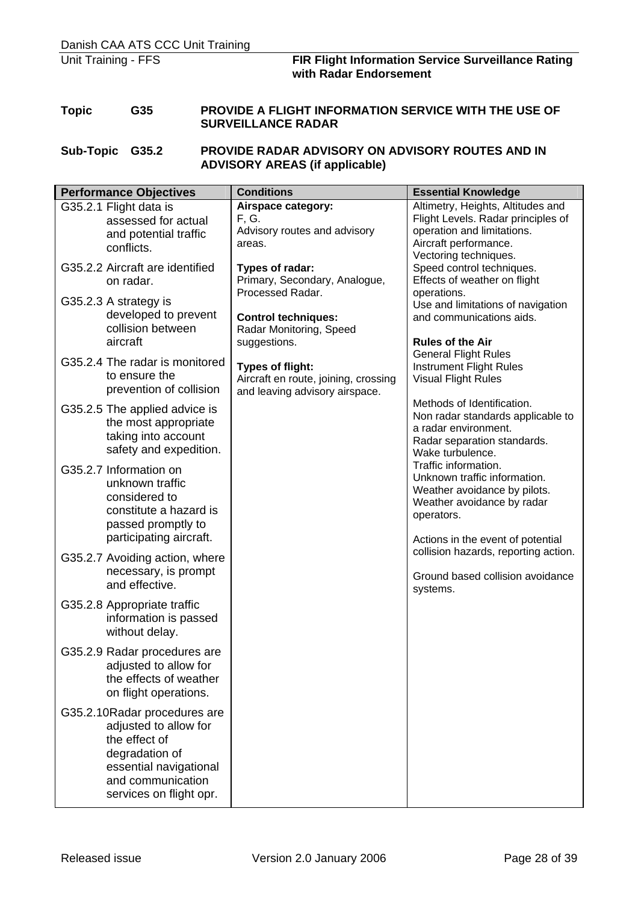**Topic G35 PROVIDE A FLIGHT INFORMATION SERVICE WITH THE USE OF SURVEILLANCE RADAR** 

**Sub-Topic G35.2 PROVIDE RADAR ADVISORY ON ADVISORY ROUTES AND IN ADVISORY AREAS (if applicable)** 

|                        | <b>Performance Objectives</b>                                                                                                                                       | <b>Conditions</b>                                                                                 | <b>Essential Knowledge</b>                                                                                                                                            |
|------------------------|---------------------------------------------------------------------------------------------------------------------------------------------------------------------|---------------------------------------------------------------------------------------------------|-----------------------------------------------------------------------------------------------------------------------------------------------------------------------|
| G35.2.1 Flight data is | assessed for actual<br>and potential traffic<br>conflicts.                                                                                                          | Airspace category:<br>F, G.<br>Advisory routes and advisory<br>areas.                             | Altimetry, Heights, Altitudes and<br>Flight Levels. Radar principles of<br>operation and limitations.<br>Aircraft performance.<br>Vectoring techniques.               |
|                        | G35.2.2 Aircraft are identified<br>on radar.                                                                                                                        | Types of radar:<br>Primary, Secondary, Analogue,                                                  | Speed control techniques.<br>Effects of weather on flight                                                                                                             |
| G35.2.3 A strategy is  | developed to prevent<br>collision between<br>aircraft                                                                                                               | Processed Radar.<br><b>Control techniques:</b><br>Radar Monitoring, Speed<br>suggestions.         | operations.<br>Use and limitations of navigation<br>and communications aids.<br><b>Rules of the Air</b>                                                               |
|                        | G35.2.4 The radar is monitored<br>to ensure the<br>prevention of collision                                                                                          | <b>Types of flight:</b><br>Aircraft en route, joining, crossing<br>and leaving advisory airspace. | <b>General Flight Rules</b><br><b>Instrument Flight Rules</b><br><b>Visual Flight Rules</b>                                                                           |
|                        | G35.2.5 The applied advice is<br>the most appropriate<br>taking into account<br>safety and expedition.                                                              |                                                                                                   | Methods of Identification.<br>Non radar standards applicable to<br>a radar environment.<br>Radar separation standards.<br>Wake turbulence.                            |
|                        | G35.2.7 Information on<br>unknown traffic<br>considered to<br>constitute a hazard is<br>passed promptly to<br>participating aircraft.                               |                                                                                                   | Traffic information.<br>Unknown traffic information.<br>Weather avoidance by pilots.<br>Weather avoidance by radar<br>operators.<br>Actions in the event of potential |
|                        | G35.2.7 Avoiding action, where<br>necessary, is prompt<br>and effective.                                                                                            |                                                                                                   | collision hazards, reporting action.<br>Ground based collision avoidance<br>systems.                                                                                  |
|                        | G35.2.8 Appropriate traffic<br>information is passed<br>without delay.                                                                                              |                                                                                                   |                                                                                                                                                                       |
|                        | G35.2.9 Radar procedures are<br>adjusted to allow for<br>the effects of weather<br>on flight operations.                                                            |                                                                                                   |                                                                                                                                                                       |
|                        | G35.2.10 Radar procedures are<br>adjusted to allow for<br>the effect of<br>degradation of<br>essential navigational<br>and communication<br>services on flight opr. |                                                                                                   |                                                                                                                                                                       |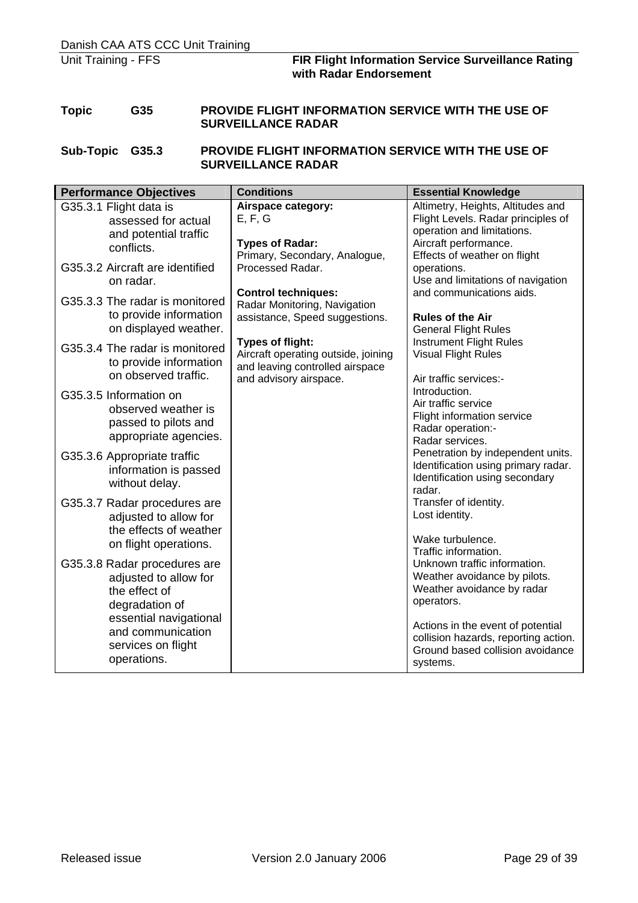**Topic G35 PROVIDE FLIGHT INFORMATION SERVICE WITH THE USE OF SURVEILLANCE RADAR** 

**Sub-Topic G35.3 PROVIDE FLIGHT INFORMATION SERVICE WITH THE USE OF SURVEILLANCE RADAR** 

| <b>Performance Objectives</b>                                                                                                               | <b>Conditions</b>                                                                                                    | <b>Essential Knowledge</b>                                                                                                                                     |
|---------------------------------------------------------------------------------------------------------------------------------------------|----------------------------------------------------------------------------------------------------------------------|----------------------------------------------------------------------------------------------------------------------------------------------------------------|
| G35.3.1 Flight data is<br>assessed for actual<br>and potential traffic<br>conflicts.                                                        | Airspace category:<br>E, F, G<br><b>Types of Radar:</b><br>Primary, Secondary, Analogue,                             | Altimetry, Heights, Altitudes and<br>Flight Levels. Radar principles of<br>operation and limitations.<br>Aircraft performance.<br>Effects of weather on flight |
| G35.3.2 Aircraft are identified<br>on radar.                                                                                                | Processed Radar.                                                                                                     | operations.<br>Use and limitations of navigation                                                                                                               |
| G35.3.3 The radar is monitored<br>to provide information<br>on displayed weather.                                                           | <b>Control techniques:</b><br>Radar Monitoring, Navigation<br>assistance, Speed suggestions.                         | and communications aids.<br><b>Rules of the Air</b><br><b>General Flight Rules</b>                                                                             |
| G35.3.4 The radar is monitored<br>to provide information<br>on observed traffic.                                                            | Types of flight:<br>Aircraft operating outside, joining<br>and leaving controlled airspace<br>and advisory airspace. | <b>Instrument Flight Rules</b><br><b>Visual Flight Rules</b><br>Air traffic services:-                                                                         |
| G35.3.5 Information on<br>observed weather is<br>passed to pilots and<br>appropriate agencies.                                              |                                                                                                                      | Introduction.<br>Air traffic service<br>Flight information service<br>Radar operation:-<br>Radar services.                                                     |
| G35.3.6 Appropriate traffic<br>information is passed<br>without delay.                                                                      |                                                                                                                      | Penetration by independent units.<br>Identification using primary radar.<br>Identification using secondary<br>radar.                                           |
| G35.3.7 Radar procedures are<br>adjusted to allow for<br>the effects of weather                                                             |                                                                                                                      | Transfer of identity.<br>Lost identity.<br>Wake turbulence.                                                                                                    |
| on flight operations.<br>G35.3.8 Radar procedures are<br>adjusted to allow for<br>the effect of<br>degradation of<br>essential navigational |                                                                                                                      | Traffic information.<br>Unknown traffic information.<br>Weather avoidance by pilots.<br>Weather avoidance by radar<br>operators.                               |
| and communication<br>services on flight<br>operations.                                                                                      |                                                                                                                      | Actions in the event of potential<br>collision hazards, reporting action.<br>Ground based collision avoidance<br>systems.                                      |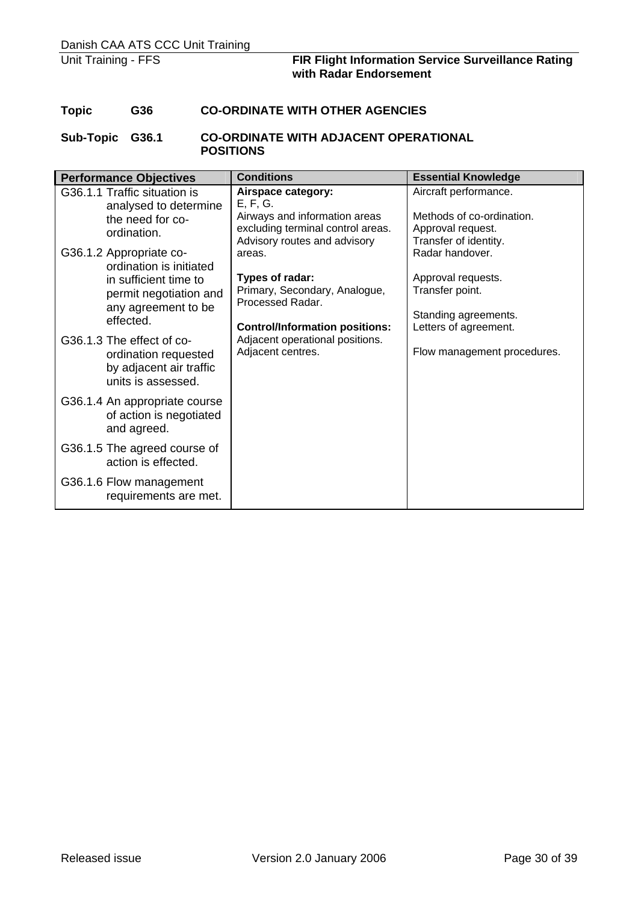Danish CAA ATS CCC Unit Training<br>Unit Training - FFS

## **FIR Flight Information Service Surveillance Rating with Radar Endorsement**

## **Topic G36 CO-ORDINATE WITH OTHER AGENCIES**

## **Sub-Topic G36.1 CO-ORDINATE WITH ADJACENT OPERATIONAL POSITIONS**

| <b>Performance Objectives</b>                                                                                                             | <b>Conditions</b>                                                                                                                    | <b>Essential Knowledge</b>                                                                                |
|-------------------------------------------------------------------------------------------------------------------------------------------|--------------------------------------------------------------------------------------------------------------------------------------|-----------------------------------------------------------------------------------------------------------|
| G36.1.1 Traffic situation is<br>analysed to determine<br>the need for co-<br>ordination.                                                  | Airspace category:<br>E, F, G.<br>Airways and information areas<br>excluding terminal control areas.<br>Advisory routes and advisory | Aircraft performance.<br>Methods of co-ordination.<br>Approval request.<br>Transfer of identity.          |
| G36.1.2 Appropriate co-<br>ordination is initiated<br>in sufficient time to<br>permit negotiation and<br>any agreement to be<br>effected. | areas.<br>Types of radar:<br>Primary, Secondary, Analogue,<br>Processed Radar.<br><b>Control/Information positions:</b>              | Radar handover.<br>Approval requests.<br>Transfer point.<br>Standing agreements.<br>Letters of agreement. |
| G36.1.3 The effect of co-<br>ordination requested<br>by adjacent air traffic<br>units is assessed.                                        | Adjacent operational positions.<br>Adjacent centres.                                                                                 | Flow management procedures.                                                                               |
| G36.1.4 An appropriate course<br>of action is negotiated<br>and agreed.                                                                   |                                                                                                                                      |                                                                                                           |
| G36.1.5 The agreed course of<br>action is effected.                                                                                       |                                                                                                                                      |                                                                                                           |
| G36.1.6 Flow management<br>requirements are met.                                                                                          |                                                                                                                                      |                                                                                                           |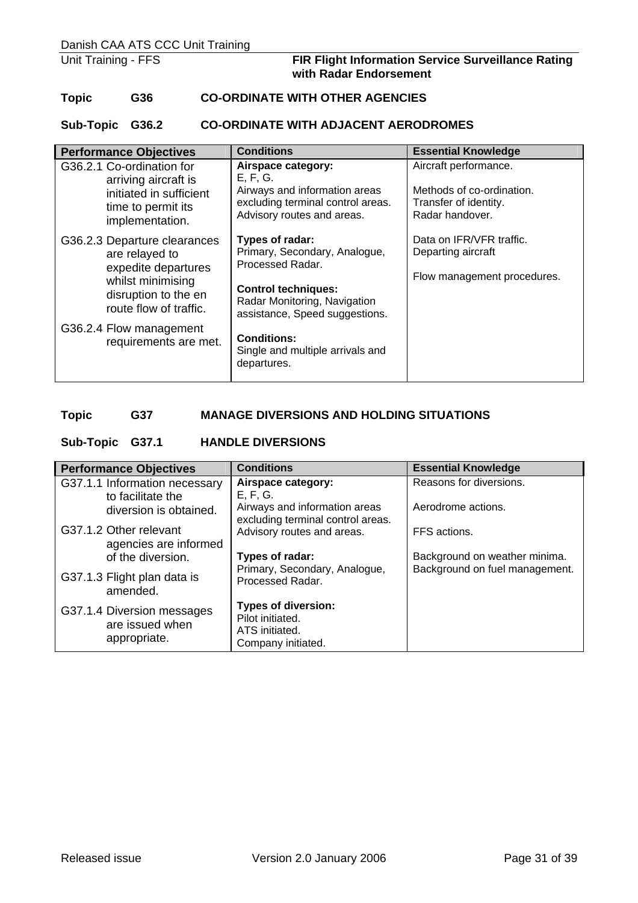## **Topic G36 CO-ORDINATE WITH OTHER AGENCIES**

## **Sub-Topic G36.2 CO-ORDINATE WITH ADJACENT AERODROMES**

| <b>Performance Objectives</b>                                                                                                                                                                    | <b>Conditions</b>                                                                                                                                                                                                                             | <b>Essential Knowledge</b>                                                                     |
|--------------------------------------------------------------------------------------------------------------------------------------------------------------------------------------------------|-----------------------------------------------------------------------------------------------------------------------------------------------------------------------------------------------------------------------------------------------|------------------------------------------------------------------------------------------------|
| G36.2.1 Co-ordination for<br>arriving aircraft is<br>initiated in sufficient<br>time to permit its<br>implementation.                                                                            | Airspace category:<br>E, F, G.<br>Airways and information areas<br>excluding terminal control areas.<br>Advisory routes and areas.                                                                                                            | Aircraft performance.<br>Methods of co-ordination.<br>Transfer of identity.<br>Radar handover. |
| G36.2.3 Departure clearances<br>are relayed to<br>expedite departures<br>whilst minimising<br>disruption to the en<br>route flow of traffic.<br>G36.2.4 Flow management<br>requirements are met. | Types of radar:<br>Primary, Secondary, Analogue,<br>Processed Radar.<br><b>Control techniques:</b><br>Radar Monitoring, Navigation<br>assistance, Speed suggestions.<br><b>Conditions:</b><br>Single and multiple arrivals and<br>departures. | Data on IFR/VFR traffic.<br>Departing aircraft<br>Flow management procedures.                  |

## **Topic G37 MANAGE DIVERSIONS AND HOLDING SITUATIONS**

#### **Sub-Topic G37.1 HANDLE DIVERSIONS**

| <b>Performance Objectives</b>                                 | <b>Conditions</b>                                                                      | <b>Essential Knowledge</b>                                      |
|---------------------------------------------------------------|----------------------------------------------------------------------------------------|-----------------------------------------------------------------|
| G37.1.1 Information necessary<br>to facilitate the            | Airspace category:<br>E, F, G.                                                         | Reasons for diversions.                                         |
| diversion is obtained.                                        | Airways and information areas<br>excluding terminal control areas.                     | Aerodrome actions.                                              |
| G37.1.2 Other relevant<br>agencies are informed               | Advisory routes and areas.                                                             | FFS actions.                                                    |
| of the diversion.                                             | Types of radar:<br>Primary, Secondary, Analogue,                                       | Background on weather minima.<br>Background on fuel management. |
| G37.1.3 Flight plan data is<br>amended.                       | Processed Radar.                                                                       |                                                                 |
| G37.1.4 Diversion messages<br>are issued when<br>appropriate. | <b>Types of diversion:</b><br>Pilot initiated.<br>ATS initiated.<br>Company initiated. |                                                                 |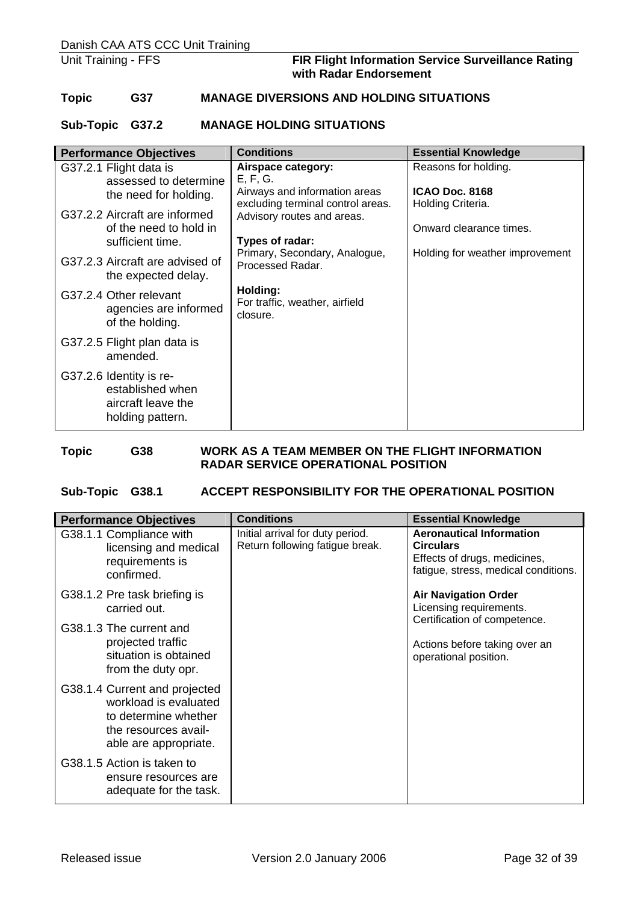## **Topic G37 MANAGE DIVERSIONS AND HOLDING SITUATIONS**

## **Sub-Topic G37.2 MANAGE HOLDING SITUATIONS**

| <b>Performance Objectives</b>                                                         | <b>Conditions</b>                                                  | <b>Essential Knowledge</b>                 |
|---------------------------------------------------------------------------------------|--------------------------------------------------------------------|--------------------------------------------|
| G37.2.1 Flight data is<br>assessed to determine                                       | Airspace category:<br>E, F, G.                                     | Reasons for holding.                       |
| the need for holding.                                                                 | Airways and information areas<br>excluding terminal control areas. | <b>ICAO Doc. 8168</b><br>Holding Criteria. |
| G37.2.2 Aircraft are informed<br>of the need to hold in                               | Advisory routes and areas.                                         | Onward clearance times.                    |
| sufficient time.                                                                      | Types of radar:                                                    |                                            |
| G37.2.3 Aircraft are advised of<br>the expected delay.                                | Primary, Secondary, Analogue,<br>Processed Radar.                  | Holding for weather improvement            |
| G37.2.4 Other relevant<br>agencies are informed<br>of the holding.                    | Holding:<br>For traffic, weather, airfield<br>closure.             |                                            |
| G37.2.5 Flight plan data is<br>amended.                                               |                                                                    |                                            |
| G37.2.6 Identity is re-<br>established when<br>aircraft leave the<br>holding pattern. |                                                                    |                                            |

#### **Topic G38 WORK AS A TEAM MEMBER ON THE FLIGHT INFORMATION RADAR SERVICE OPERATIONAL POSITION**

#### **Sub-Topic G38.1 ACCEPT RESPONSIBILITY FOR THE OPERATIONAL POSITION**

| <b>Performance Objectives</b>                                                                                                   | <b>Conditions</b>                                                   | <b>Essential Knowledge</b>                                                                                                  |
|---------------------------------------------------------------------------------------------------------------------------------|---------------------------------------------------------------------|-----------------------------------------------------------------------------------------------------------------------------|
| G38.1.1 Compliance with<br>licensing and medical<br>requirements is<br>confirmed.                                               | Initial arrival for duty period.<br>Return following fatigue break. | <b>Aeronautical Information</b><br><b>Circulars</b><br>Effects of drugs, medicines,<br>fatigue, stress, medical conditions. |
| G38.1.2 Pre task briefing is<br>carried out.                                                                                    |                                                                     | <b>Air Navigation Order</b><br>Licensing requirements.                                                                      |
| G38.1.3 The current and<br>projected traffic<br>situation is obtained<br>from the duty opr.                                     |                                                                     | Certification of competence.<br>Actions before taking over an<br>operational position.                                      |
| G38.1.4 Current and projected<br>workload is evaluated<br>to determine whether<br>the resources avail-<br>able are appropriate. |                                                                     |                                                                                                                             |
| G38.1.5 Action is taken to<br>ensure resources are<br>adequate for the task.                                                    |                                                                     |                                                                                                                             |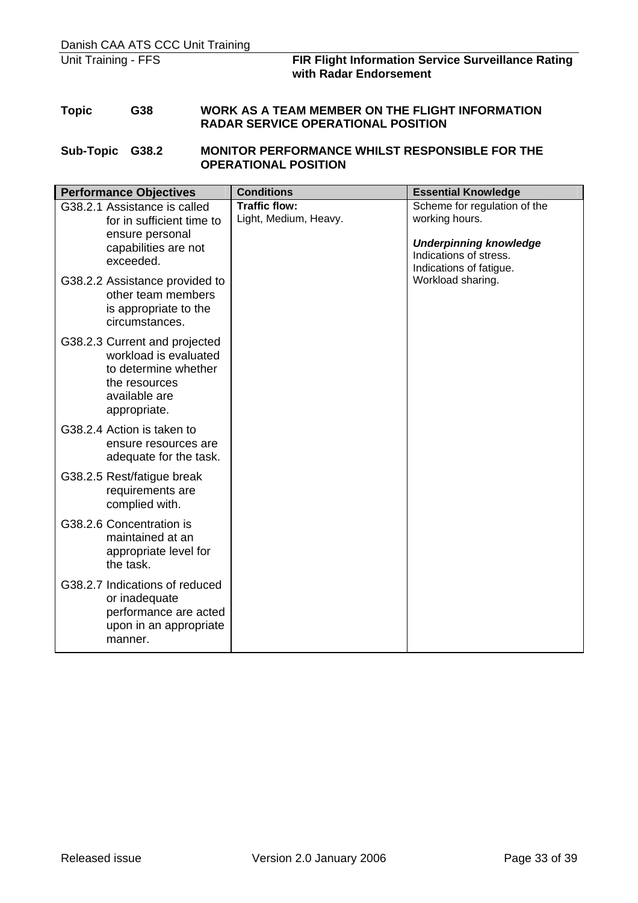## **Topic G38 WORK AS A TEAM MEMBER ON THE FLIGHT INFORMATION RADAR SERVICE OPERATIONAL POSITION**

#### **Sub-Topic G38.2 MONITOR PERFORMANCE WHILST RESPONSIBLE FOR THE OPERATIONAL POSITION**

| <b>Performance Objectives</b>                                                                                                    | <b>Conditions</b>                             | <b>Essential Knowledge</b>                                                                                                           |
|----------------------------------------------------------------------------------------------------------------------------------|-----------------------------------------------|--------------------------------------------------------------------------------------------------------------------------------------|
| G38.2.1 Assistance is called<br>for in sufficient time to<br>ensure personal<br>capabilities are not<br>exceeded.                | <b>Traffic flow:</b><br>Light, Medium, Heavy. | Scheme for regulation of the<br>working hours.<br><b>Underpinning knowledge</b><br>Indications of stress.<br>Indications of fatigue. |
| G38.2.2 Assistance provided to<br>other team members<br>is appropriate to the<br>circumstances.                                  |                                               | Workload sharing.                                                                                                                    |
| G38.2.3 Current and projected<br>workload is evaluated<br>to determine whether<br>the resources<br>available are<br>appropriate. |                                               |                                                                                                                                      |
| G38.2.4 Action is taken to<br>ensure resources are<br>adequate for the task.                                                     |                                               |                                                                                                                                      |
| G38.2.5 Rest/fatigue break<br>requirements are<br>complied with.                                                                 |                                               |                                                                                                                                      |
| G38.2.6 Concentration is<br>maintained at an<br>appropriate level for<br>the task.                                               |                                               |                                                                                                                                      |
| G38.2.7 Indications of reduced<br>or inadequate<br>performance are acted<br>upon in an appropriate<br>manner.                    |                                               |                                                                                                                                      |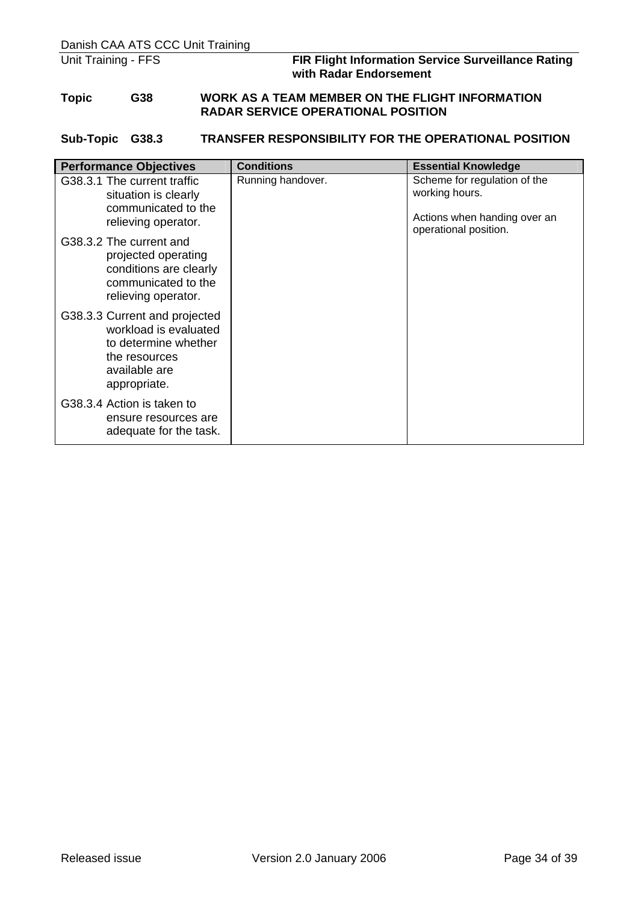#### **Topic G38 WORK AS A TEAM MEMBER ON THE FLIGHT INFORMATION RADAR SERVICE OPERATIONAL POSITION**

## **Sub-Topic G38.3 TRANSFER RESPONSIBILITY FOR THE OPERATIONAL POSITION**

| <b>Performance Objectives</b>                                                                                                    | <b>Conditions</b> | <b>Essential Knowledge</b>                                                                              |
|----------------------------------------------------------------------------------------------------------------------------------|-------------------|---------------------------------------------------------------------------------------------------------|
| G38.3.1 The current traffic<br>situation is clearly<br>communicated to the<br>relieving operator.                                | Running handover. | Scheme for regulation of the<br>working hours.<br>Actions when handing over an<br>operational position. |
| G38.3.2 The current and<br>projected operating<br>conditions are clearly<br>communicated to the<br>relieving operator.           |                   |                                                                                                         |
| G38.3.3 Current and projected<br>workload is evaluated<br>to determine whether<br>the resources<br>available are<br>appropriate. |                   |                                                                                                         |
| G38.3.4 Action is taken to<br>ensure resources are<br>adequate for the task.                                                     |                   |                                                                                                         |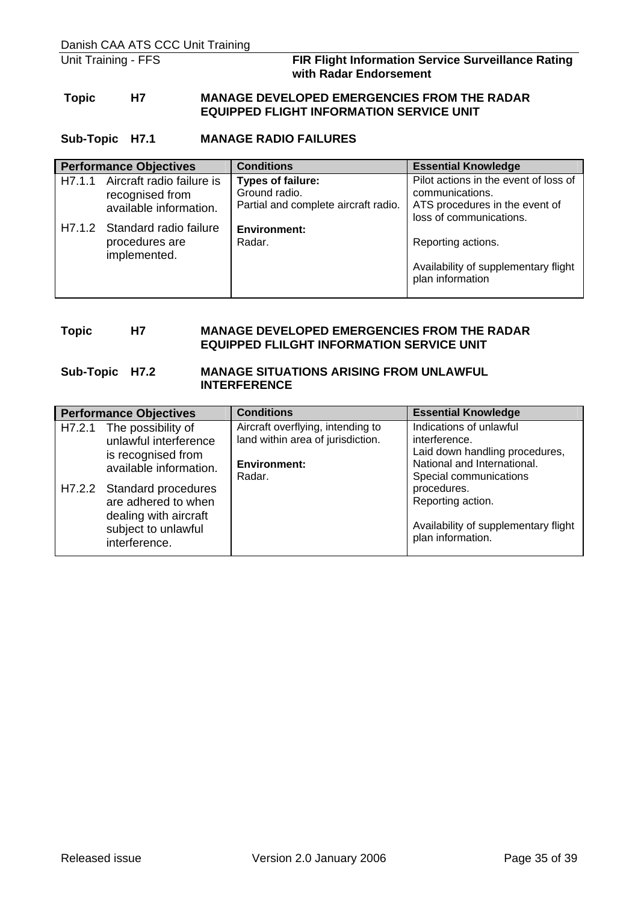#### **Topic H7 MANAGE DEVELOPED EMERGENCIES FROM THE RADAR EQUIPPED FLIGHT INFORMATION SERVICE UNIT**

#### **Sub-Topic H7.1 MANAGE RADIO FAILURES**

|        | <b>Performance Objectives</b>                                          | <b>Conditions</b>                                                          | <b>Essential Knowledge</b>                                                                                            |
|--------|------------------------------------------------------------------------|----------------------------------------------------------------------------|-----------------------------------------------------------------------------------------------------------------------|
| H7.1.1 | Aircraft radio failure is<br>recognised from<br>available information. | Types of failure:<br>Ground radio.<br>Partial and complete aircraft radio. | Pilot actions in the event of loss of<br>communications.<br>ATS procedures in the event of<br>loss of communications. |
|        | H7.1.2 Standard radio failure<br>procedures are<br>implemented.        | <b>Environment:</b><br>Radar.                                              | Reporting actions.<br>Availability of supplementary flight<br>plan information                                        |

#### **Topic H7 MANAGE DEVELOPED EMERGENCIES FROM THE RADAR EQUIPPED FLILGHT INFORMATION SERVICE UNIT**

#### **Sub-Topic H7.2 MANAGE SITUATIONS ARISING FROM UNLAWFUL INTERFERENCE**

| <b>Performance Objectives</b> | <b>Conditions</b>                 | <b>Essential Knowledge</b>           |
|-------------------------------|-----------------------------------|--------------------------------------|
| H7.2.1 The possibility of     | Aircraft overflying, intending to | Indications of unlawful              |
| unlawful interference         | land within area of jurisdiction. | interference.                        |
| is recognised from            |                                   | Laid down handling procedures,       |
| available information.        | <b>Environment:</b>               | National and International.          |
|                               | Radar.                            | Special communications               |
| H7.2.2 Standard procedures    |                                   | procedures.                          |
| are adhered to when           |                                   | Reporting action.                    |
| dealing with aircraft         |                                   |                                      |
| subject to unlawful           |                                   | Availability of supplementary flight |
| interference.                 |                                   | plan information.                    |
|                               |                                   |                                      |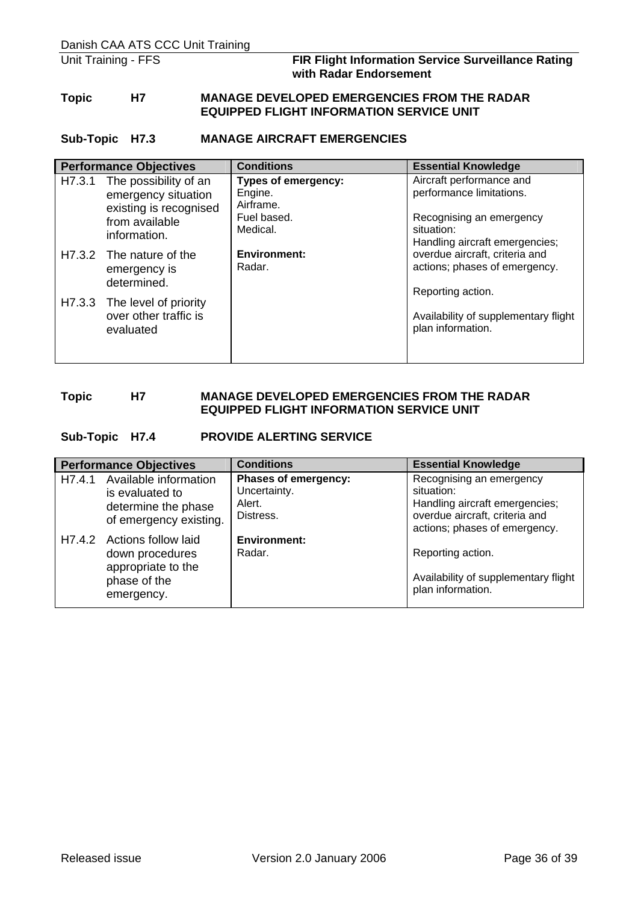#### **Topic H7 MANAGE DEVELOPED EMERGENCIES FROM THE RADAR EQUIPPED FLIGHT INFORMATION SERVICE UNIT**

#### **Sub-Topic H7.3 MANAGE AIRCRAFT EMERGENCIES**

| <b>Conditions</b>          | <b>Essential Knowledge</b>                                                       |
|----------------------------|----------------------------------------------------------------------------------|
| <b>Types of emergency:</b> | Aircraft performance and                                                         |
|                            | performance limitations.                                                         |
|                            |                                                                                  |
|                            | Recognising an emergency                                                         |
|                            | situation:                                                                       |
|                            | Handling aircraft emergencies;                                                   |
|                            | overdue aircraft, criteria and                                                   |
|                            | actions; phases of emergency.                                                    |
|                            | Reporting action.                                                                |
|                            |                                                                                  |
|                            | Availability of supplementary flight                                             |
|                            | plan information.                                                                |
|                            |                                                                                  |
|                            |                                                                                  |
|                            | Engine.<br>Airframe.<br>Fuel based.<br>Medical.<br><b>Environment:</b><br>Radar. |

## **Topic H7 MANAGE DEVELOPED EMERGENCIES FROM THE RADAR EQUIPPED FLIGHT INFORMATION SERVICE UNIT**

#### **Sub-Topic H7.4 PROVIDE ALERTING SERVICE**

|        | <b>Performance Objectives</b> | <b>Conditions</b>    | <b>Essential Knowledge</b>                                |
|--------|-------------------------------|----------------------|-----------------------------------------------------------|
| H7.4.1 | Available information         | Phases of emergency: | Recognising an emergency                                  |
|        | is evaluated to               | Uncertainty.         | situation:                                                |
|        | determine the phase           | Alert.               | Handling aircraft emergencies;                            |
|        | of emergency existing.        | Distress.            | overdue aircraft, criteria and                            |
|        |                               |                      | actions; phases of emergency.                             |
|        | H7.4.2 Actions follow laid    | <b>Environment:</b>  |                                                           |
|        | down procedures               | Radar.               | Reporting action.                                         |
|        | appropriate to the            |                      |                                                           |
|        | phase of the                  |                      | Availability of supplementary flight<br>plan information. |
|        | emergency.                    |                      |                                                           |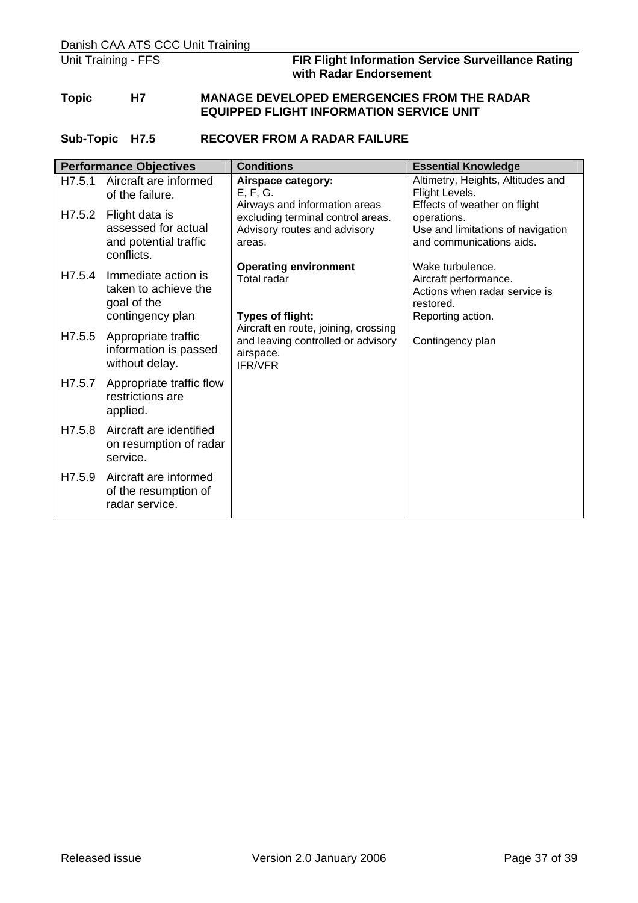#### **Topic H7 MANAGE DEVELOPED EMERGENCIES FROM THE RADAR EQUIPPED FLIGHT INFORMATION SERVICE UNIT**

## **Sub-Topic H7.5 RECOVER FROM A RADAR FAILURE**

|        | <b>Performance Objectives</b>                                                       | <b>Conditions</b>                                                                                            | <b>Essential Knowledge</b>                                                                                   |
|--------|-------------------------------------------------------------------------------------|--------------------------------------------------------------------------------------------------------------|--------------------------------------------------------------------------------------------------------------|
| H7.5.1 | Aircraft are informed<br>of the failure.                                            | Airspace category:<br>E, F, G.                                                                               | Altimetry, Heights, Altitudes and<br>Flight Levels.                                                          |
|        | H7.5.2 Flight data is<br>assessed for actual<br>and potential traffic<br>conflicts. | Airways and information areas<br>excluding terminal control areas.<br>Advisory routes and advisory<br>areas. | Effects of weather on flight<br>operations.<br>Use and limitations of navigation<br>and communications aids. |
| H7.5.4 | Immediate action is<br>taken to achieve the<br>goal of the<br>contingency plan      | <b>Operating environment</b><br><b>Total radar</b><br><b>Types of flight:</b>                                | Wake turbulence.<br>Aircraft performance.<br>Actions when radar service is<br>restored.<br>Reporting action. |
| H7.5.5 | Appropriate traffic<br>information is passed<br>without delay.                      | Aircraft en route, joining, crossing<br>and leaving controlled or advisory<br>airspace.<br><b>IFR/VFR</b>    | Contingency plan                                                                                             |
| H7.5.7 | Appropriate traffic flow<br>restrictions are<br>applied.                            |                                                                                                              |                                                                                                              |
| H7.5.8 | Aircraft are identified<br>on resumption of radar<br>service.                       |                                                                                                              |                                                                                                              |
| H7.5.9 | Aircraft are informed<br>of the resumption of<br>radar service.                     |                                                                                                              |                                                                                                              |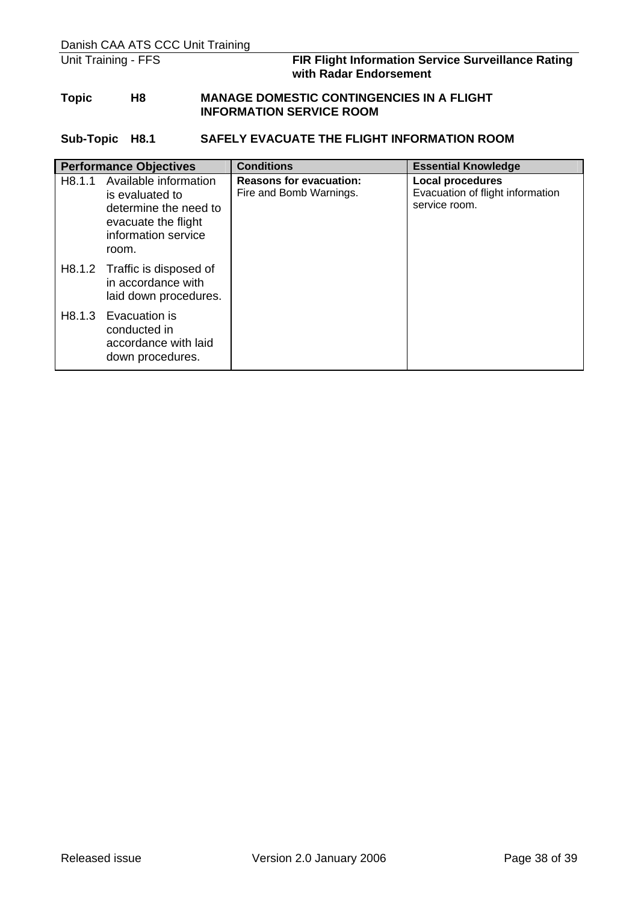#### **Topic H8 MANAGE DOMESTIC CONTINGENCIES IN A FLIGHT INFORMATION SERVICE ROOM**

#### **Sub-Topic H8.1 SAFELY EVACUATE THE FLIGHT INFORMATION ROOM**

|                    | <b>Performance Objectives</b>                                                                                            | <b>Conditions</b>                                         | <b>Essential Knowledge</b>                                                   |
|--------------------|--------------------------------------------------------------------------------------------------------------------------|-----------------------------------------------------------|------------------------------------------------------------------------------|
| H <sub>8.1.1</sub> | Available information<br>is evaluated to<br>determine the need to<br>evacuate the flight<br>information service<br>room. | <b>Reasons for evacuation:</b><br>Fire and Bomb Warnings. | <b>Local procedures</b><br>Evacuation of flight information<br>service room. |
|                    | H8.1.2 Traffic is disposed of<br>in accordance with<br>laid down procedures.                                             |                                                           |                                                                              |
| H8.1.3             | Evacuation is<br>conducted in<br>accordance with laid<br>down procedures.                                                |                                                           |                                                                              |